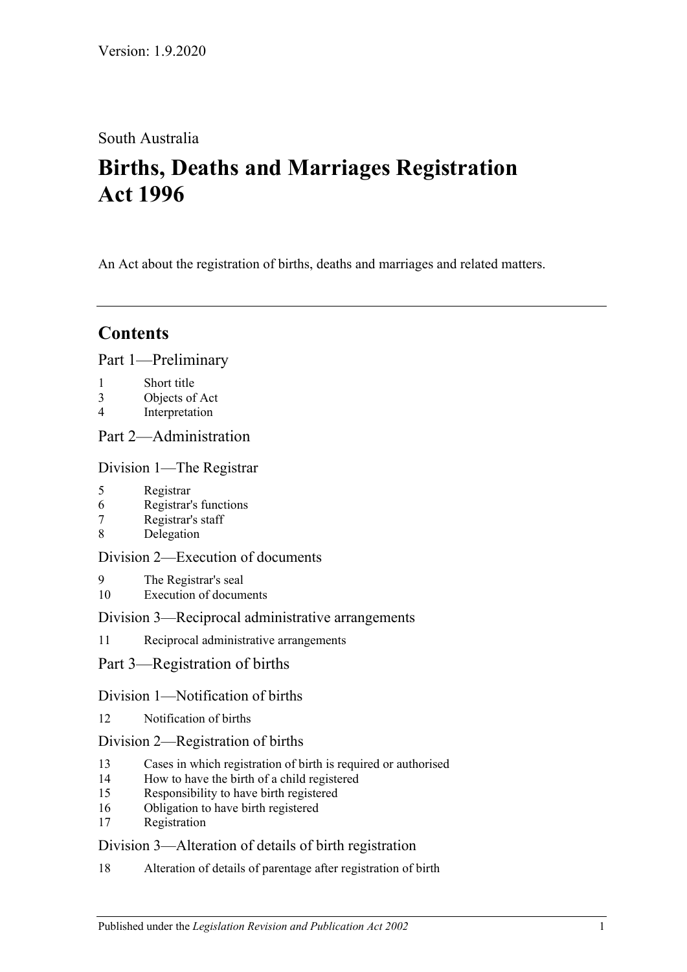# South Australia

# **Births, Deaths and Marriages Registration Act 1996**

An Act about the registration of births, deaths and marriages and related matters.

# **Contents**

[Part 1—Preliminary](#page-3-0)

- 1 [Short title](#page-3-1)
- 3 [Objects of Act](#page-3-2)
- 4 [Interpretation](#page-3-3)

## [Part 2—Administration](#page-5-0)

[Division 1—The Registrar](#page-5-1)

- 5 [Registrar](#page-5-2)
- 6 [Registrar's functions](#page-5-3)
- 7 [Registrar's staff](#page-5-4)
- 8 [Delegation](#page-6-0)

## [Division 2—Execution of documents](#page-6-1)

- 9 [The Registrar's seal](#page-6-2)
- 10 [Execution of documents](#page-6-3)

## [Division 3—Reciprocal administrative arrangements](#page-6-4)

11 [Reciprocal administrative arrangements](#page-6-5)

## [Part 3—Registration of births](#page-7-0)

## [Division 1—Notification of births](#page-7-1)

12 [Notification of births](#page-7-2)

## [Division 2—Registration of births](#page-8-0)

- 13 [Cases in which registration of birth is required or authorised](#page-8-1)
- 14 [How to have the birth of a child registered](#page-8-2)
- 15 [Responsibility to have birth registered](#page-9-0)
- 16 [Obligation to have birth registered](#page-9-1)
- 17 [Registration](#page-9-2)

## [Division 3—Alteration of details of birth registration](#page-9-3)

18 [Alteration of details of parentage after registration of birth](#page-9-4)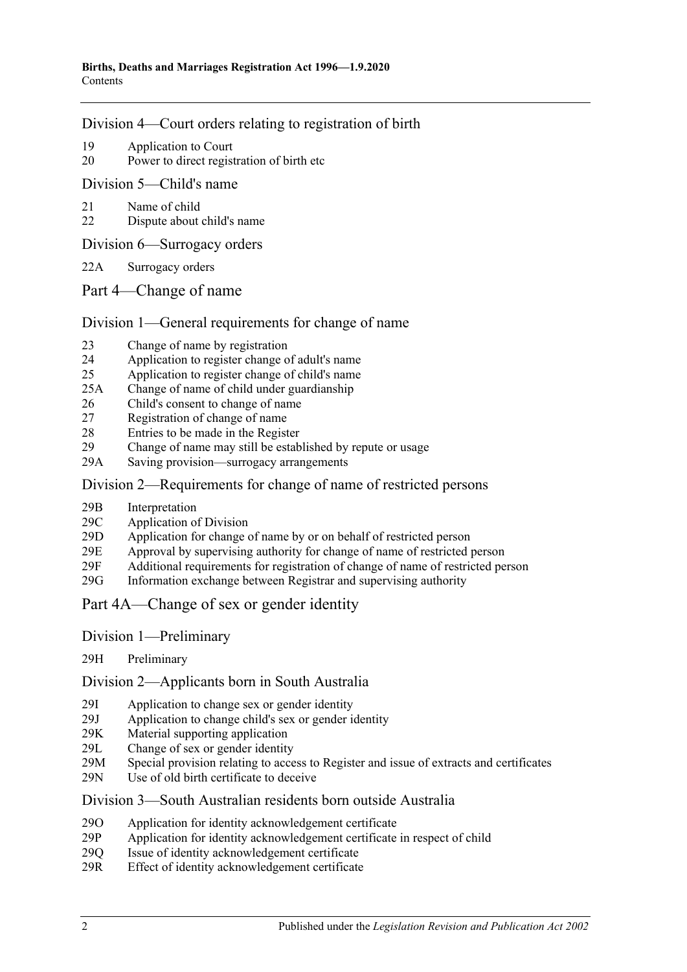#### [Division 4—Court orders relating to registration of birth](#page-10-0)

- 19 [Application to Court](#page-10-1)
- 20 [Power to direct registration of birth etc](#page-10-2)

[Division 5—Child's name](#page-10-3)

- 21 [Name of child](#page-10-4)
- 22 [Dispute about child's name](#page-11-0)

[Division 6—Surrogacy orders](#page-11-1)

- 22A [Surrogacy orders](#page-11-2)
- [Part 4—Change of name](#page-12-0)

#### [Division 1—General requirements for change of name](#page-12-1)

- 23 [Change of name by registration](#page-12-2)
- 24 [Application to register change of adult's name](#page-12-3)
- 25 [Application to register change of child's name](#page-12-4)
- 25A [Change of name of child under guardianship](#page-13-0)
- 26 [Child's consent to change of name](#page-14-0)
- 27 [Registration of change of name](#page-14-1)
- 28 [Entries to be made in the Register](#page-15-0)
- 29 [Change of name may still be established by repute or usage](#page-15-1) 29A Saving provision—surrogacy arrangements
- [Saving provision—surrogacy arrangements](#page-15-2)

#### [Division 2—Requirements for change of name of restricted persons](#page-15-3)

- 29B [Interpretation](#page-15-4)
- 29C [Application of Division](#page-16-0)
- 29D Application for change [of name by or on behalf of restricted person](#page-16-1)
- 29E [Approval by supervising authority for change of name of restricted person](#page-17-0)
- 29F [Additional requirements for registration of change of name of restricted person](#page-18-0)
- 29G [Information exchange between Registrar and supervising authority](#page-18-1)

## [Part 4A—Change of sex or gender identity](#page-18-2)

- Division [1—Preliminary](#page-18-3)
- 29H [Preliminary](#page-18-4)

Division [2—Applicants born in South Australia](#page-19-0)

- 29I [Application to change sex or gender identity](#page-19-1)
- 29J [Application to change child's sex or gender identity](#page-19-2)
- 29K [Material supporting application](#page-20-0)
- 29L [Change of sex or gender identity](#page-20-1)
- 29M [Special provision relating to access to Register and](#page-20-2) issue of extracts and certificates
- 29N [Use of old birth certificate to deceive](#page-21-0)

#### Division [3—South Australian residents born outside Australia](#page-21-1)

- 29O [Application for identity acknowledgement certificate](#page-21-2)
- 29P [Application for identity acknowledgement certificate in respect of child](#page-21-3)
- 29Q [Issue of identity acknowledgement certificate](#page-22-0)
- 29R [Effect of identity acknowledgement certificate](#page-22-1)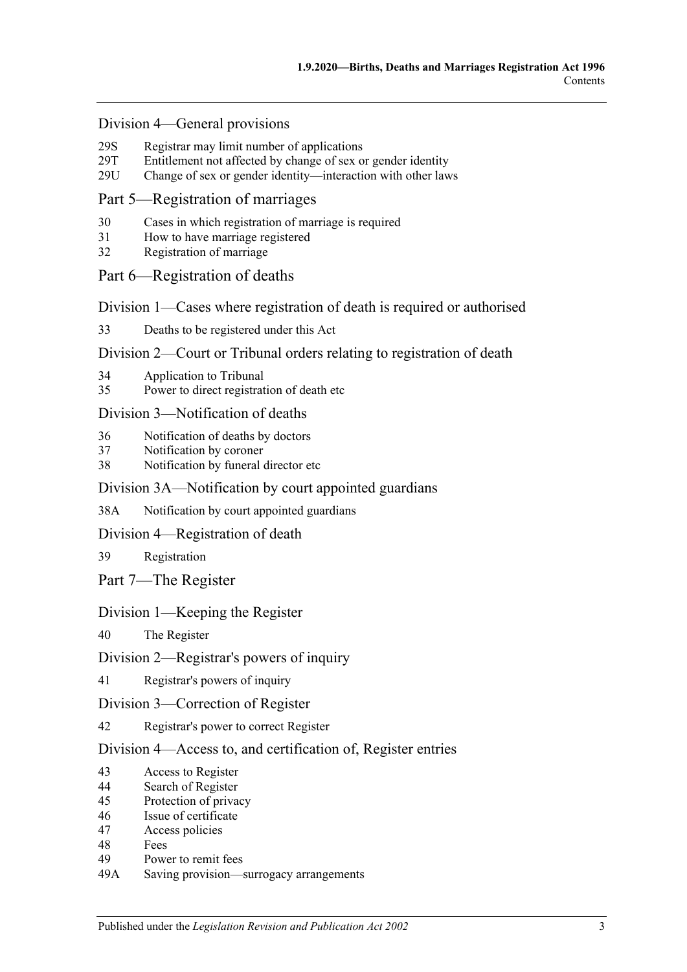#### Division [4—General provisions](#page-22-2)

- 29S [Registrar may limit number of applications](#page-22-3)<br>29T Entitlement not affected by change of sex of
- [Entitlement not affected by change of sex or gender identity](#page-23-0)
- 29U [Change of sex or gender identity—interaction with other laws](#page-23-1)

#### [Part 5—Registration of marriages](#page-23-2)

- 30 [Cases in which registration of marriage is required](#page-23-3)
- 31 [How to have marriage registered](#page-23-4)
- 32 [Registration of marriage](#page-24-0)

#### [Part 6—Registration of deaths](#page-24-1)

[Division 1—Cases where registration of death is required or authorised](#page-24-2)

33 [Deaths to be registered under this Act](#page-24-3)

#### [Division 2—Court or Tribunal orders relating to registration of death](#page-24-4)

- 34 [Application to Tribunal](#page-24-5)
- 35 [Power to direct registration of death etc](#page-24-6)

#### [Division 3—Notification of deaths](#page-25-0)

- 36 [Notification of deaths by doctors](#page-25-1)
- 37 [Notification by coroner](#page-25-2)
- 38 [Notification by funeral director etc](#page-26-0)

#### [Division 3A—Notification by court appointed guardians](#page-26-1)

38A [Notification by court appointed guardians](#page-26-2)

#### [Division 4—Registration of death](#page-27-0)

39 [Registration](#page-27-1)

[Part 7—The Register](#page-27-2)

#### [Division 1—Keeping the Register](#page-27-3)

40 [The Register](#page-27-4)

#### [Division 2—Registrar's powers of inquiry](#page-28-0)

41 [Registrar's powers of inquiry](#page-28-1)

#### [Division 3—Correction of Register](#page-28-2)

42 [Registrar's power to correct Register](#page-28-3)

#### [Division 4—Access to, and certification of, Register entries](#page-28-4)

- 43 [Access to Register](#page-28-5)
- 44 [Search of Register](#page-29-0)
- 45 [Protection of privacy](#page-29-1)
- 46 [Issue of certificate](#page-29-2)
- 47 [Access policies](#page-30-0)
- 48 [Fees](#page-30-1)
- 49 [Power to remit fees](#page-30-2)
- 49A [Saving provision—surrogacy arrangements](#page-30-3)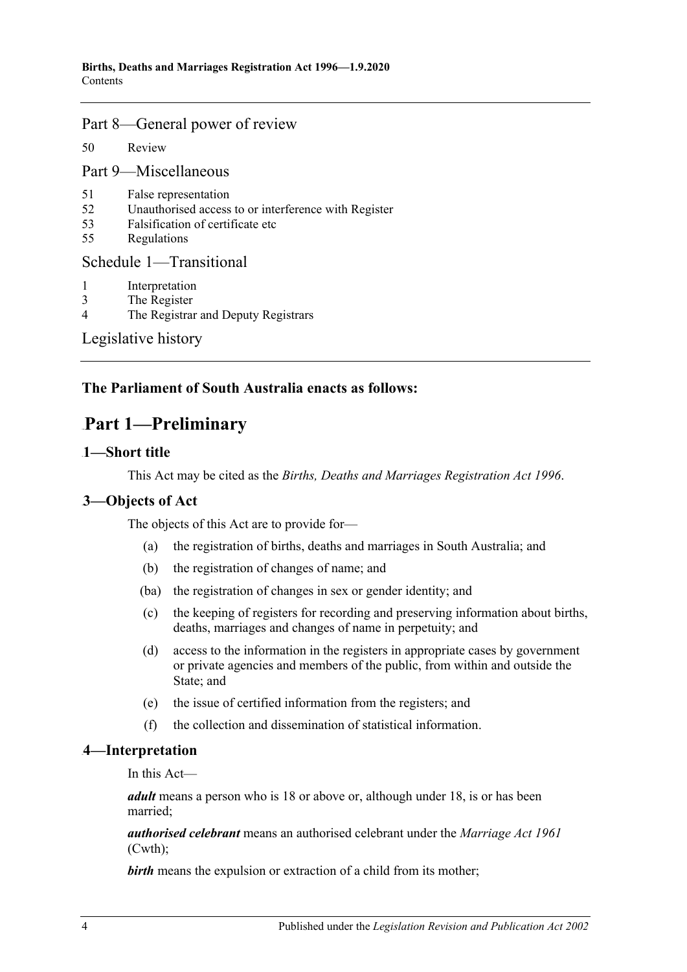## [Part 8—General power of review](#page-30-4)

50 [Review](#page-30-5)

[Part 9—Miscellaneous](#page-31-0)

- 51 [False representation](#page-31-1)
- 52 [Unauthorised access to or interference with Register](#page-31-2)
- 53 [Falsification of certificate etc](#page-31-3)
- 55 [Regulations](#page-31-4)

#### [Schedule 1—Transitional](#page-31-5)

- 1 [Interpretation](#page-31-6)
- 3 [The Register](#page-32-0)
- 4 [The Registrar and Deputy Registrars](#page-32-1)

[Legislative history](#page-33-0)

# <span id="page-3-0"></span>**The Parliament of South Australia enacts as follows:**

# 106B**Part 1—Preliminary**

## <span id="page-3-1"></span>1-Short title

This Act may be cited as the *Births, Deaths and Marriages Registration Act 1996*.

# <span id="page-3-2"></span>1B**3—Objects of Act**

The objects of this Act are to provide for—

- (a) the registration of births, deaths and marriages in South Australia; and
- (b) the registration of changes of name; and
- (ba) the registration of changes in sex or gender identity; and
- (c) the keeping of registers for recording and preserving information about births, deaths, marriages and changes of name in perpetuity; and
- (d) access to the information in the registers in appropriate cases by government or private agencies and members of the public, from within and outside the State; and
- (e) the issue of certified information from the registers; and
- (f) the collection and dissemination of statistical information.

## <span id="page-3-3"></span>2B**4—Interpretation**

In this Act—

*adult* means a person who is 18 or above or, although under 18, is or has been married;

*authorised celebrant* means an authorised celebrant under the *Marriage Act 1961* (Cwth);

**birth** means the expulsion or extraction of a child from its mother;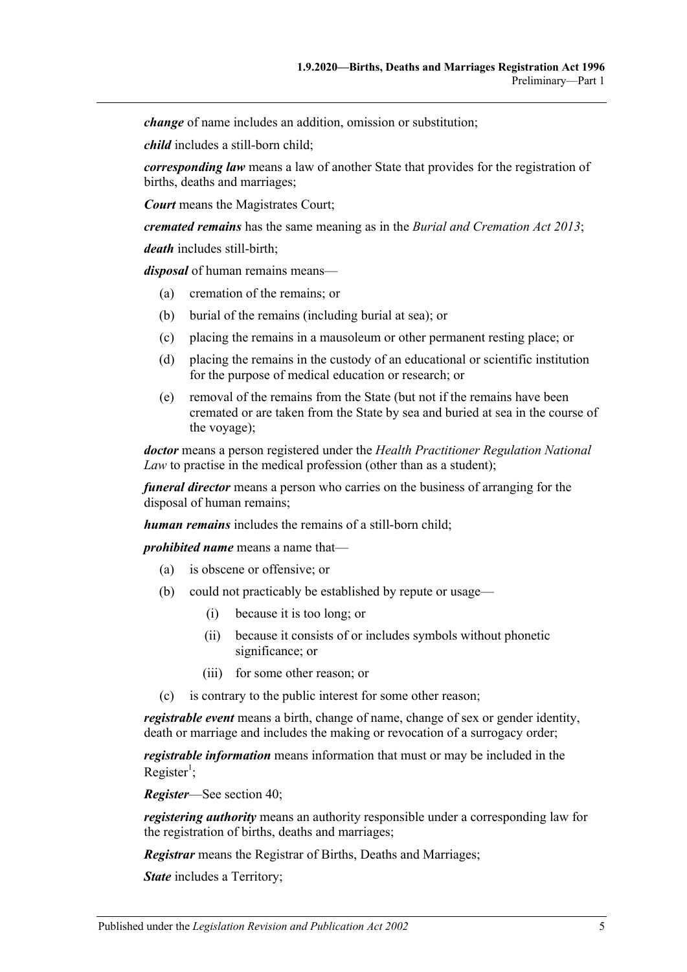*change* of name includes an addition, omission or substitution;

*child* includes a still-born child;

*corresponding law* means a law of another State that provides for the registration of births, deaths and marriages;

*Court* means the Magistrates Court;

*cremated remains* has the same meaning as in the *[Burial and Cremation Act](http://www.legislation.sa.gov.au/index.aspx?action=legref&type=act&legtitle=Burial%20and%20Cremation%20Act%202013) 2013*;

*death* includes still-birth;

*disposal* of human remains means—

- (a) cremation of the remains; or
- (b) burial of the remains (including burial at sea); or
- (c) placing the remains in a mausoleum or other permanent resting place; or
- (d) placing the remains in the custody of an educational or scientific institution for the purpose of medical education or research; or
- (e) removal of the remains from the State (but not if the remains have been cremated or are taken from the State by sea and buried at sea in the course of the voyage);

*doctor* means a person registered under the *Health Practitioner Regulation National Law* to practise in the medical profession (other than as a student);

*funeral director* means a person who carries on the business of arranging for the disposal of human remains;

*human remains* includes the remains of a still-born child;

*prohibited name* means a name that—

- (a) is obscene or offensive; or
- (b) could not practicably be established by repute or usage—
	- (i) because it is too long; or
	- (ii) because it consists of or includes symbols without phonetic significance; or
	- (iii) for some other reason; or
	- is contrary to the public interest for some other reason;

*registrable event* means a birth, change of name, change of sex or gender identity, death or marriage and includes the making or revocation of a surrogacy order;

*registrable information* means information that must or may be included in the  $Register<sup>1</sup>;$ 

*Register*—See [section](#page-27-4) 40;

*registering authority* means an authority responsible under a corresponding law for the registration of births, deaths and marriages;

*Registrar* means the Registrar of Births, Deaths and Marriages;

**State** includes a Territory;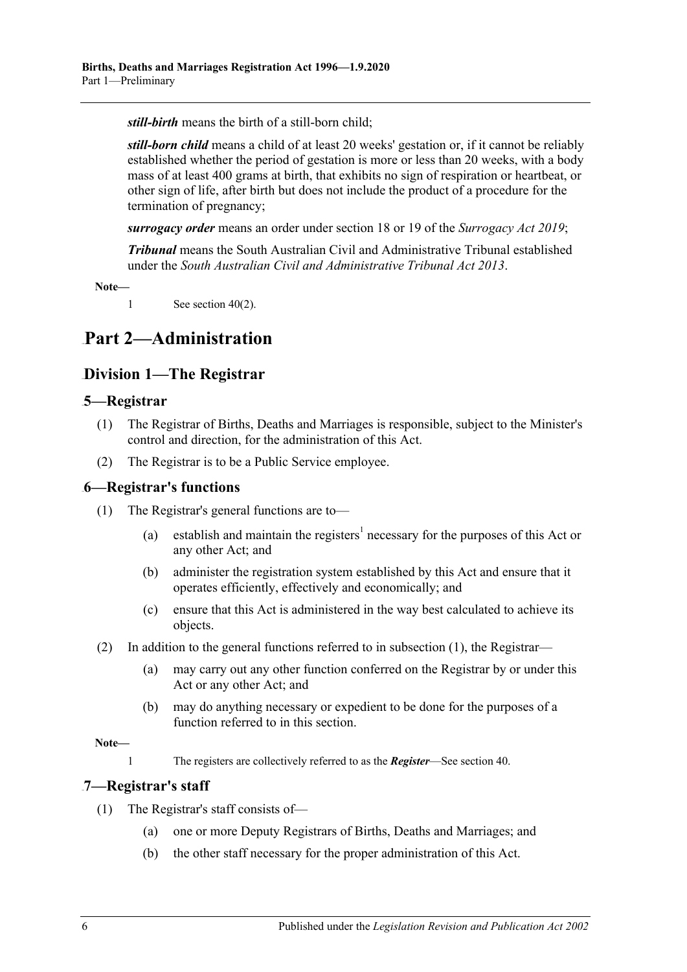*still-birth* means the birth of a still-born child;

*still-born child* means a child of at least 20 weeks' gestation or, if it cannot be reliably established whether the period of gestation is more or less than 20 weeks, with a body mass of at least 400 grams at birth, that exhibits no sign of respiration or heartbeat, or other sign of life, after birth but does not include the product of a procedure for the termination of pregnancy;

*surrogacy order* means an order under section 18 or 19 of the *[Surrogacy Act](http://www.legislation.sa.gov.au/index.aspx?action=legref&type=act&legtitle=Surrogacy%20Act%202019) 2019*;

*Tribunal* means the South Australian Civil and Administrative Tribunal established under the *[South Australian Civil and Administrative Tribunal Act](http://www.legislation.sa.gov.au/index.aspx?action=legref&type=act&legtitle=South%20Australian%20Civil%20and%20Administrative%20Tribunal%20Act%202013) 2013*.

**Note—**

1 See [section](#page-27-5)  $40(2)$ .

# <span id="page-5-1"></span><span id="page-5-0"></span>107B**Part 2—Administration**

# 81B**Division 1—The Registrar**

## <span id="page-5-2"></span>14B**5—Registrar**

- (1) The Registrar of Births, Deaths and Marriages is responsible, subject to the Minister's control and direction, for the administration of this Act.
- (2) The Registrar is to be a Public Service employee.

#### <span id="page-5-5"></span><span id="page-5-3"></span>15B**6—Registrar's functions**

- (1) The Registrar's general functions are to—
	- (a) establish and maintain the registers<sup>1</sup> necessary for the purposes of this Act or any other Act; and
	- (b) administer the registration system established by this Act and ensure that it operates efficiently, effectively and economically; and
	- (c) ensure that this Act is administered in the way best calculated to achieve its objects.
- (2) In addition to the general functions referred to in [subsection](#page-5-5) (1), the Registrar—
	- (a) may carry out any other function conferred on the Registrar by or under this Act or any other Act; and
	- (b) may do anything necessary or expedient to be done for the purposes of a function referred to in this section.

**Note—**

1 The registers are collectively referred to as the *Register*—See [section](#page-27-4) 40.

#### <span id="page-5-4"></span>16B**7—Registrar's staff**

- (1) The Registrar's staff consists of—
	- (a) one or more Deputy Registrars of Births, Deaths and Marriages; and
	- (b) the other staff necessary for the proper administration of this Act.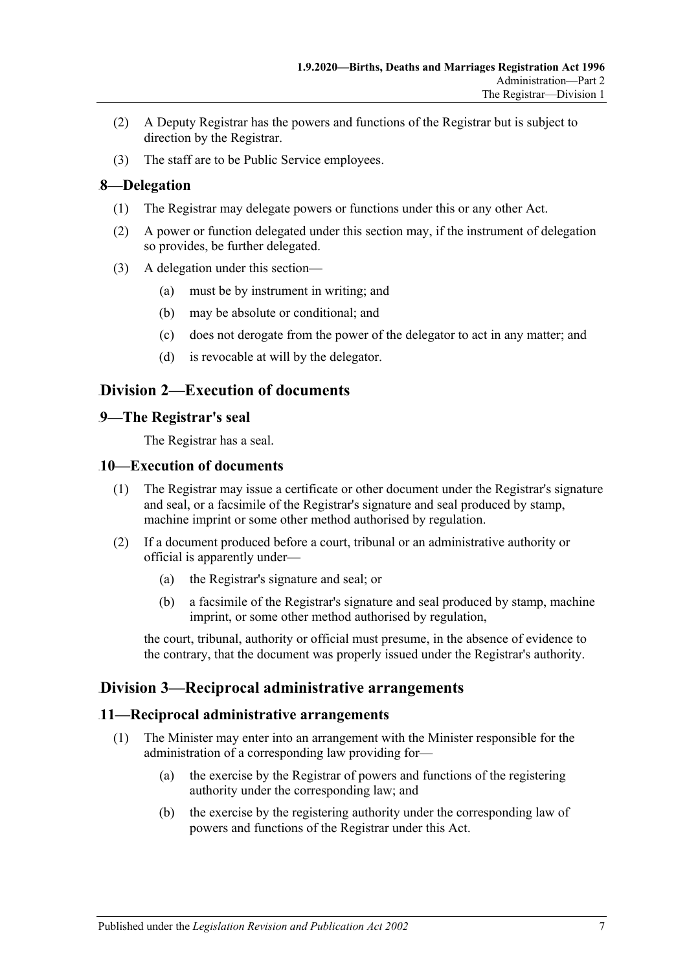- (2) A Deputy Registrar has the powers and functions of the Registrar but is subject to direction by the Registrar.
- (3) The staff are to be Public Service employees.

## <span id="page-6-0"></span>17B**8—Delegation**

- (1) The Registrar may delegate powers or functions under this or any other Act.
- (2) A power or function delegated under this section may, if the instrument of delegation so provides, be further delegated.
- (3) A delegation under this section—
	- (a) must be by instrument in writing; and
	- (b) may be absolute or conditional; and
	- (c) does not derogate from the power of the delegator to act in any matter; and
	- (d) is revocable at will by the delegator.

# <span id="page-6-1"></span>82B**Division 2—Execution of documents**

## <span id="page-6-2"></span>18B**9—The Registrar's seal**

The Registrar has a seal.

#### <span id="page-6-3"></span>10—Execution of documents

- (1) The Registrar may issue a certificate or other document under the Registrar's signature and seal, or a facsimile of the Registrar's signature and seal produced by stamp, machine imprint or some other method authorised by regulation.
- (2) If a document produced before a court, tribunal or an administrative authority or official is apparently under—
	- (a) the Registrar's signature and seal; or
	- (b) a facsimile of the Registrar's signature and seal produced by stamp, machine imprint, or some other method authorised by regulation,

the court, tribunal, authority or official must presume, in the absence of evidence to the contrary, that the document was properly issued under the Registrar's authority.

# <span id="page-6-4"></span>83B**Division 3—Reciprocal administrative arrangements**

#### <span id="page-6-5"></span>20B**11—Reciprocal administrative arrangements**

- (1) The Minister may enter into an arrangement with the Minister responsible for the administration of a corresponding law providing for—
	- (a) the exercise by the Registrar of powers and functions of the registering authority under the corresponding law; and
	- (b) the exercise by the registering authority under the corresponding law of powers and functions of the Registrar under this Act.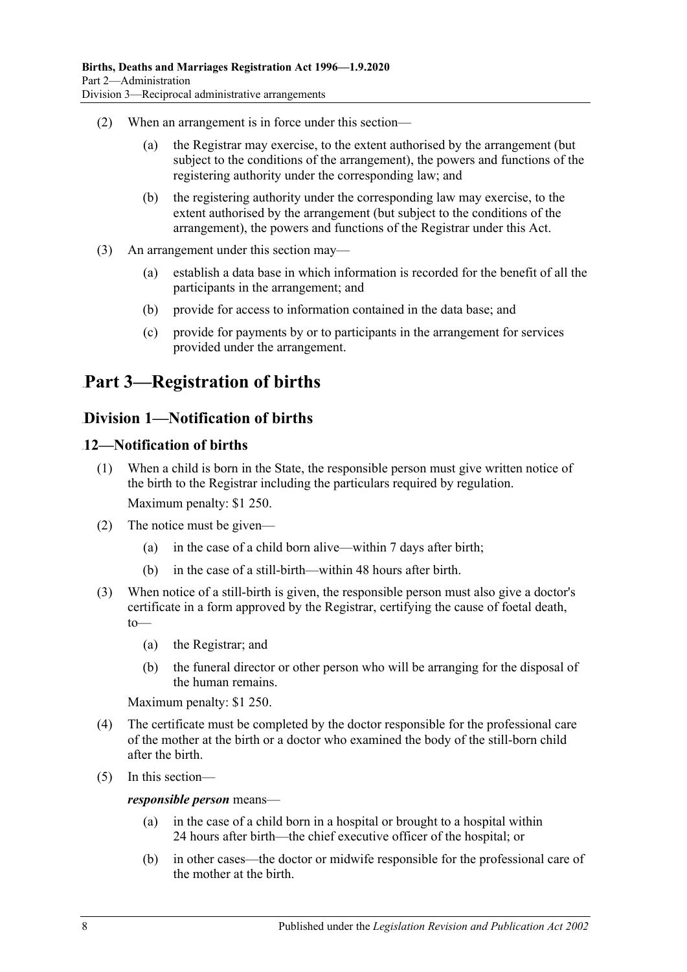- (2) When an arrangement is in force under this section—
	- (a) the Registrar may exercise, to the extent authorised by the arrangement (but subject to the conditions of the arrangement), the powers and functions of the registering authority under the corresponding law; and
	- (b) the registering authority under the corresponding law may exercise, to the extent authorised by the arrangement (but subject to the conditions of the arrangement), the powers and functions of the Registrar under this Act.
- (3) An arrangement under this section may—
	- (a) establish a data base in which information is recorded for the benefit of all the participants in the arrangement; and
	- (b) provide for access to information contained in the data base; and
	- (c) provide for payments by or to participants in the arrangement for services provided under the arrangement.

# <span id="page-7-0"></span>108B**Part 3—Registration of births**

# <span id="page-7-1"></span>84B**Division 1—Notification of births**

## <span id="page-7-2"></span>21B**12—Notification of births**

- (1) When a child is born in the State, the responsible person must give written notice of the birth to the Registrar including the particulars required by regulation. Maximum penalty: \$1 250.
- (2) The notice must be given—
	- (a) in the case of a child born alive—within 7 days after birth;
	- (b) in the case of a still-birth—within 48 hours after birth.
- (3) When notice of a still-birth is given, the responsible person must also give a doctor's certificate in a form approved by the Registrar, certifying the cause of foetal death, to—
	- (a) the Registrar; and
	- (b) the funeral director or other person who will be arranging for the disposal of the human remains.

Maximum penalty: \$1 250.

- (4) The certificate must be completed by the doctor responsible for the professional care of the mother at the birth or a doctor who examined the body of the still-born child after the birth.
- (5) In this section—

#### *responsible person* means—

- (a) in the case of a child born in a hospital or brought to a hospital within 24 hours after birth—the chief executive officer of the hospital; or
- (b) in other cases—the doctor or midwife responsible for the professional care of the mother at the birth.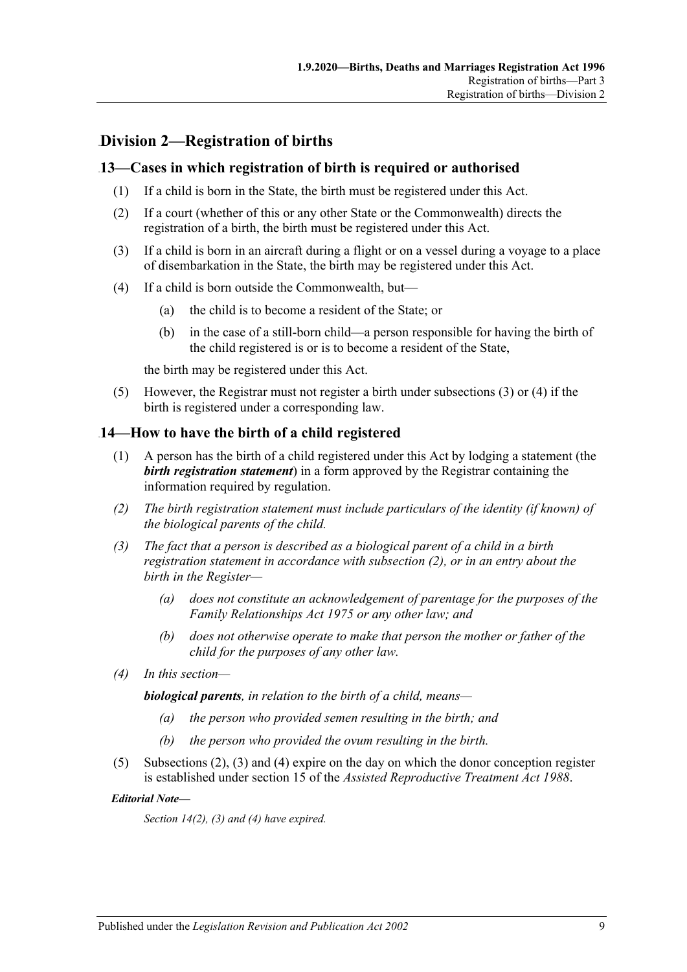# <span id="page-8-0"></span>85B**Division 2—Registration of births**

## <span id="page-8-1"></span>22B**13—Cases in which registration of birth is required or authorised**

- (1) If a child is born in the State, the birth must be registered under this Act.
- (2) If a court (whether of this or any other State or the Commonwealth) directs the registration of a birth, the birth must be registered under this Act.
- <span id="page-8-3"></span>(3) If a child is born in an aircraft during a flight or on a vessel during a voyage to a place of disembarkation in the State, the birth may be registered under this Act.
- <span id="page-8-4"></span>(4) If a child is born outside the Commonwealth, but—
	- (a) the child is to become a resident of the State; or
	- (b) in the case of a still-born child—a person responsible for having the birth of the child registered is or is to become a resident of the State,

the birth may be registered under this Act.

(5) However, the Registrar must not register a birth under [subsections](#page-8-3) (3) or [\(4\)](#page-8-4) if the birth is registered under a corresponding law.

#### <span id="page-8-2"></span>23B**14—How to have the birth of a child registered**

- (1) A person has the birth of a child registered under this Act by lodging a statement (the *birth registration statement*) in a form approved by the Registrar containing the information required by regulation.
- <span id="page-8-5"></span>*(2) The birth registration statement must include particulars of the identity (if known) of the biological parents of the child.*
- <span id="page-8-6"></span>*(3) The fact that a person is described as a biological parent of a child in a birth registration statement in accordance with [subsection](#page-8-5) (2), or in an entry about the birth in the Register—*
	- *(a) does not constitute an acknowledgement of parentage for the purposes of the [Family Relationships Act](http://www.legislation.sa.gov.au/index.aspx?action=legref&type=act&legtitle=Family%20Relationships%20Act%201975) 1975 or any other law; and*
	- *(b) does not otherwise operate to make that person the mother or father of the child for the purposes of any other law.*
- <span id="page-8-7"></span>*(4) In this section—*

*biological parents, in relation to the birth of a child, means—*

- *(a) the person who provided semen resulting in the birth; and*
- *(b) the person who provided the ovum resulting in the birth.*
- (5) [Subsections](#page-8-5) (2), [\(3\)](#page-8-6) and [\(4\)](#page-8-7) expire on the day on which the donor conception register is established under section 15 of the *[Assisted Reproductive Treatment Act](http://www.legislation.sa.gov.au/index.aspx?action=legref&type=act&legtitle=Assisted%20Reproductive%20Treatment%20Act%201988) 1988*.

#### *Editorial Note***—**

*Section 14(2), (3) and (4) have expired.*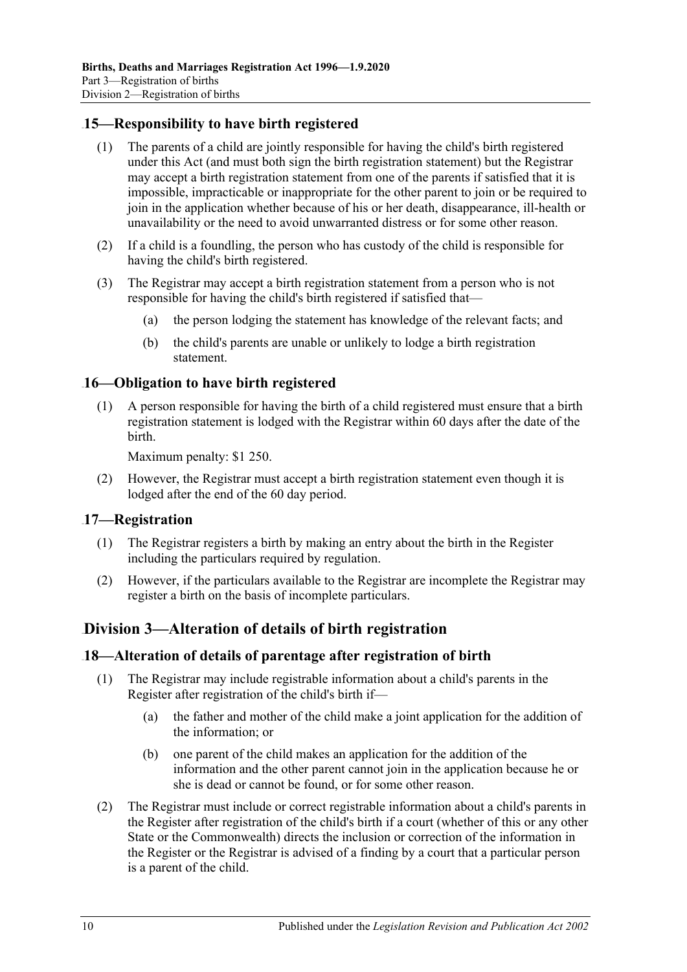## <span id="page-9-0"></span>24B**15—Responsibility to have birth registered**

- (1) The parents of a child are jointly responsible for having the child's birth registered under this Act (and must both sign the birth registration statement) but the Registrar may accept a birth registration statement from one of the parents if satisfied that it is impossible, impracticable or inappropriate for the other parent to join or be required to join in the application whether because of his or her death, disappearance, ill-health or unavailability or the need to avoid unwarranted distress or for some other reason.
- (2) If a child is a foundling, the person who has custody of the child is responsible for having the child's birth registered.
- (3) The Registrar may accept a birth registration statement from a person who is not responsible for having the child's birth registered if satisfied that—
	- (a) the person lodging the statement has knowledge of the relevant facts; and
	- (b) the child's parents are unable or unlikely to lodge a birth registration statement.

## <span id="page-9-1"></span>25B**16—Obligation to have birth registered**

(1) A person responsible for having the birth of a child registered must ensure that a birth registration statement is lodged with the Registrar within 60 days after the date of the birth.

Maximum penalty: \$1 250.

(2) However, the Registrar must accept a birth registration statement even though it is lodged after the end of the 60 day period.

#### <span id="page-9-2"></span>26B**17—Registration**

- (1) The Registrar registers a birth by making an entry about the birth in the Register including the particulars required by regulation.
- (2) However, if the particulars available to the Registrar are incomplete the Registrar may register a birth on the basis of incomplete particulars.

# <span id="page-9-3"></span>86B**Division 3—Alteration of details of birth registration**

#### <span id="page-9-4"></span>27B**18—Alteration of details of parentage after registration of birth**

- (1) The Registrar may include registrable information about a child's parents in the Register after registration of the child's birth if—
	- (a) the father and mother of the child make a joint application for the addition of the information; or
	- (b) one parent of the child makes an application for the addition of the information and the other parent cannot join in the application because he or she is dead or cannot be found, or for some other reason.
- (2) The Registrar must include or correct registrable information about a child's parents in the Register after registration of the child's birth if a court (whether of this or any other State or the Commonwealth) directs the inclusion or correction of the information in the Register or the Registrar is advised of a finding by a court that a particular person is a parent of the child.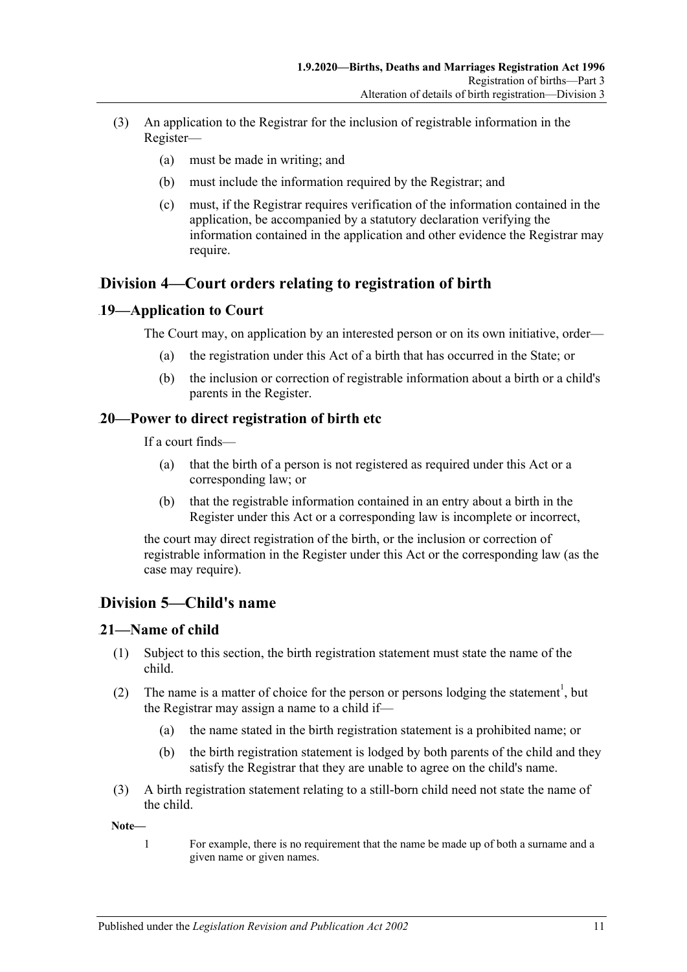- (3) An application to the Registrar for the inclusion of registrable information in the Register—
	- (a) must be made in writing; and
	- (b) must include the information required by the Registrar; and
	- (c) must, if the Registrar requires verification of the information contained in the application, be accompanied by a statutory declaration verifying the information contained in the application and other evidence the Registrar may require.

# <span id="page-10-0"></span>87B**Division 4—Court orders relating to registration of birth**

## <span id="page-10-1"></span>28B**19—Application to Court**

The Court may, on application by an interested person or on its own initiative, order—

- (a) the registration under this Act of a birth that has occurred in the State; or
- (b) the inclusion or correction of registrable information about a birth or a child's parents in the Register.

## <span id="page-10-2"></span>29B**20—Power to direct registration of birth etc**

If a court finds—

- (a) that the birth of a person is not registered as required under this Act or a corresponding law; or
- (b) that the registrable information contained in an entry about a birth in the Register under this Act or a corresponding law is incomplete or incorrect,

the court may direct registration of the birth, or the inclusion or correction of registrable information in the Register under this Act or the corresponding law (as the case may require).

# <span id="page-10-3"></span>88B**Division 5—Child's name**

## <span id="page-10-4"></span>21-Name of child

- (1) Subject to this section, the birth registration statement must state the name of the child.
- (2) The name is a matter of choice for the person or persons lodging the statement<sup>1</sup>, but the Registrar may assign a name to a child if—
	- (a) the name stated in the birth registration statement is a prohibited name; or
	- (b) the birth registration statement is lodged by both parents of the child and they satisfy the Registrar that they are unable to agree on the child's name.
- (3) A birth registration statement relating to a still-born child need not state the name of the child.

**Note—**

1 For example, there is no requirement that the name be made up of both a surname and a given name or given names.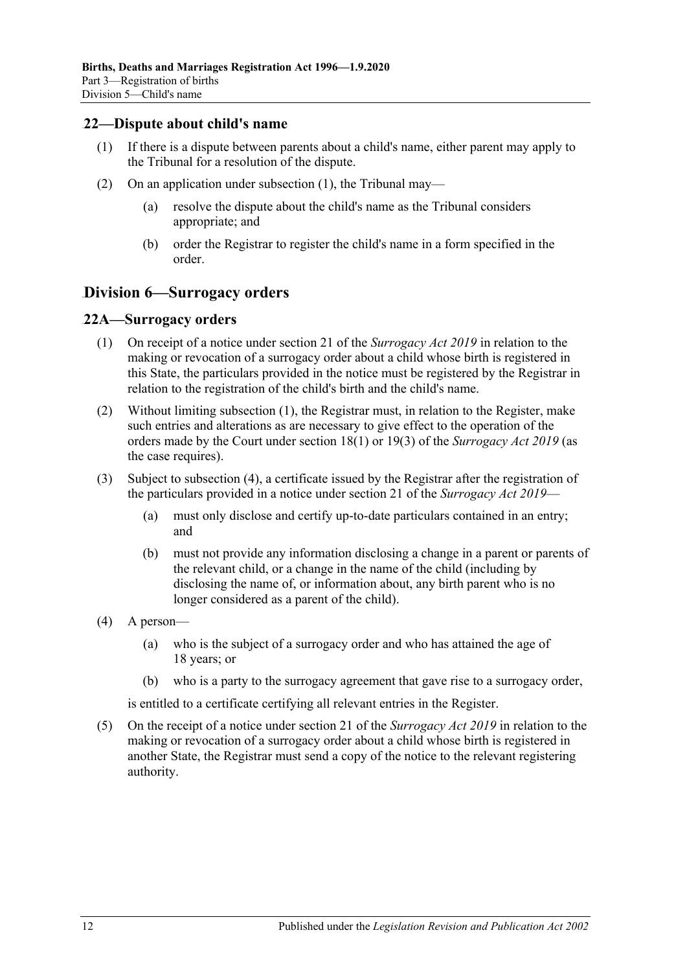#### <span id="page-11-3"></span><span id="page-11-0"></span>31B**22—Dispute about child's name**

- (1) If there is a dispute between parents about a child's name, either parent may apply to the Tribunal for a resolution of the dispute.
- (2) On an application under [subsection](#page-11-3) (1), the Tribunal may—
	- (a) resolve the dispute about the child's name as the Tribunal considers appropriate; and
	- (b) order the Registrar to register the child's name in a form specified in the order.

## <span id="page-11-1"></span>89B**Division 6—Surrogacy orders**

#### <span id="page-11-4"></span><span id="page-11-2"></span>32B**22A—Surrogacy orders**

- (1) On receipt of a notice under section 21 of the *[Surrogacy Act](http://www.legislation.sa.gov.au/index.aspx?action=legref&type=act&legtitle=Surrogacy%20Act%202019) 2019* in relation to the making or revocation of a surrogacy order about a child whose birth is registered in this State, the particulars provided in the notice must be registered by the Registrar in relation to the registration of the child's birth and the child's name.
- (2) Without limiting [subsection](#page-11-4) (1), the Registrar must, in relation to the Register, make such entries and alterations as are necessary to give effect to the operation of the orders made by the Court under section 18(1) or 19(3) of the *[Surrogacy Act](http://www.legislation.sa.gov.au/index.aspx?action=legref&type=act&legtitle=Surrogacy%20Act%202019) 2019* (as the case requires).
- (3) Subject to [subsection](#page-11-5) (4), a certificate issued by the Registrar after the registration of the particulars provided in a notice under section 21 of the *[Surrogacy Act](http://www.legislation.sa.gov.au/index.aspx?action=legref&type=act&legtitle=Surrogacy%20Act%202019) 2019*—
	- (a) must only disclose and certify up-to-date particulars contained in an entry; and
	- (b) must not provide any information disclosing a change in a parent or parents of the relevant child, or a change in the name of the child (including by disclosing the name of, or information about, any birth parent who is no longer considered as a parent of the child).
- <span id="page-11-5"></span>(4) A person—
	- (a) who is the subject of a surrogacy order and who has attained the age of 18 years; or
	- (b) who is a party to the surrogacy agreement that gave rise to a surrogacy order,

is entitled to a certificate certifying all relevant entries in the Register.

(5) On the receipt of a notice under section 21 of the *[Surrogacy Act](http://www.legislation.sa.gov.au/index.aspx?action=legref&type=act&legtitle=Surrogacy%20Act%202019) 2019* in relation to the making or revocation of a surrogacy order about a child whose birth is registered in another State, the Registrar must send a copy of the notice to the relevant registering authority.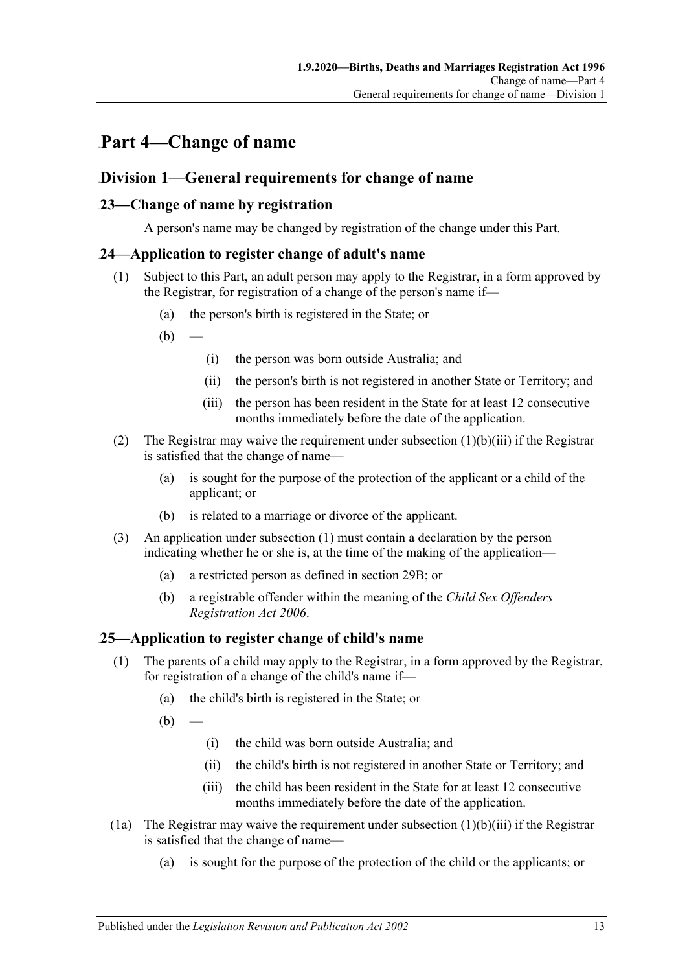# <span id="page-12-0"></span>Part 4—Change of name

# <span id="page-12-1"></span>**Division 1—General requirements for change of name**

## <span id="page-12-2"></span>33B**23—Change of name by registration**

A person's name may be changed by registration of the change under this Part.

## <span id="page-12-6"></span><span id="page-12-3"></span>34B**24—Application to register change of adult's name**

- (1) Subject to this Part, an adult person may apply to the Registrar, in a form approved by the Registrar, for registration of a change of the person's name if—
	- (a) the person's birth is registered in the State; or
	- $(b)$ 
		- (i) the person was born outside Australia; and
		- (ii) the person's birth is not registered in another State or Territory; and
		- (iii) the person has been resident in the State for at least 12 consecutive months immediately before the date of the application.
- <span id="page-12-5"></span>(2) The Registrar may waive the requirement under [subsection](#page-12-5) (1)(b)(iii) if the Registrar is satisfied that the change of name—
	- (a) is sought for the purpose of the protection of the applicant or a child of the applicant; or
	- (b) is related to a marriage or divorce of the applicant.
- (3) An application under [subsection](#page-12-6) (1) must contain a declaration by the person indicating whether he or she is, at the time of the making of the application—
	- (a) a restricted person as defined in [section](#page-15-4) 29B; or
	- (b) a registrable offender within the meaning of the *[Child Sex Offenders](http://www.legislation.sa.gov.au/index.aspx?action=legref&type=act&legtitle=Child%20Sex%20Offenders%20Registration%20Act%202006)  [Registration Act](http://www.legislation.sa.gov.au/index.aspx?action=legref&type=act&legtitle=Child%20Sex%20Offenders%20Registration%20Act%202006) 2006*.

## <span id="page-12-4"></span>35B**25—Application to register change of child's name**

- (1) The parents of a child may apply to the Registrar, in a form approved by the Registrar, for registration of a change of the child's name if—
	- (a) the child's birth is registered in the State; or

 $(b)$ 

- (i) the child was born outside Australia; and
- (ii) the child's birth is not registered in another State or Territory; and
- (iii) the child has been resident in the State for at least 12 consecutive months immediately before the date of the application.
- <span id="page-12-7"></span>(1a) The Registrar may waive the requirement under [subsection](#page-12-7)  $(1)(b)(iii)$  if the Registrar is satisfied that the change of name—
	- (a) is sought for the purpose of the protection of the child or the applicants; or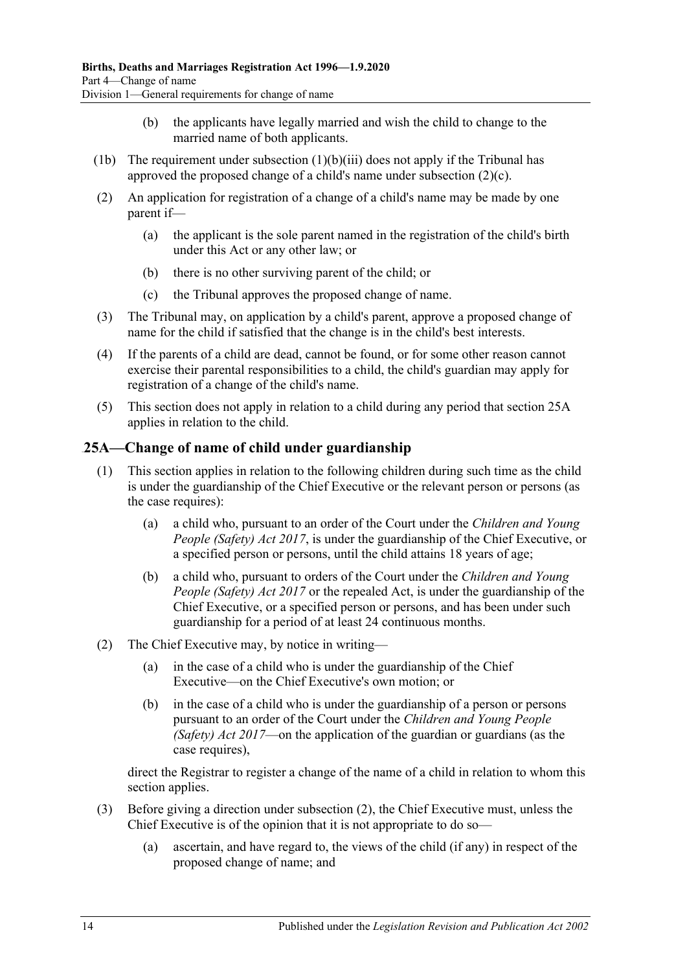- (b) the applicants have legally married and wish the child to change to the married name of both applicants.
- (1b) The requirement under [subsection](#page-12-7)  $(1)(b)(iii)$  does not apply if the Tribunal has approved the proposed change of a child's name under [subsection](#page-13-1) (2)(c).
- (2) An application for registration of a change of a child's name may be made by one parent if—
	- (a) the applicant is the sole parent named in the registration of the child's birth under this Act or any other law; or
	- (b) there is no other surviving parent of the child; or
	- (c) the Tribunal approves the proposed change of name.
- <span id="page-13-1"></span>(3) The Tribunal may, on application by a child's parent, approve a proposed change of name for the child if satisfied that the change is in the child's best interests.
- (4) If the parents of a child are dead, cannot be found, or for some other reason cannot exercise their parental responsibilities to a child, the child's guardian may apply for registration of a change of the child's name.
- (5) This section does not apply in relation to a child during any period that [section](#page-13-0) 25A applies in relation to the child.

# <span id="page-13-0"></span>36B**25A—Change of name of child under guardianship**

- (1) This section applies in relation to the following children during such time as the child is under the guardianship of the Chief Executive or the relevant person or persons (as the case requires):
	- (a) a child who, pursuant to an order of the Court under the *[Children and Young](http://www.legislation.sa.gov.au/index.aspx?action=legref&type=act&legtitle=Children%20and%20Young%20People%20(Safety)%20Act%202017)  [People \(Safety\) Act](http://www.legislation.sa.gov.au/index.aspx?action=legref&type=act&legtitle=Children%20and%20Young%20People%20(Safety)%20Act%202017) 2017*, is under the guardianship of the Chief Executive, or a specified person or persons, until the child attains 18 years of age;
	- (b) a child who, pursuant to orders of the Court under the *[Children and Young](http://www.legislation.sa.gov.au/index.aspx?action=legref&type=act&legtitle=Children%20and%20Young%20People%20(Safety)%20Act%202017)  [People \(Safety\) Act](http://www.legislation.sa.gov.au/index.aspx?action=legref&type=act&legtitle=Children%20and%20Young%20People%20(Safety)%20Act%202017) 2017* or the repealed Act, is under the guardianship of the Chief Executive, or a specified person or persons, and has been under such guardianship for a period of at least 24 continuous months.
- <span id="page-13-2"></span>(2) The Chief Executive may, by notice in writing—
	- (a) in the case of a child who is under the guardianship of the Chief Executive—on the Chief Executive's own motion; or
	- (b) in the case of a child who is under the guardianship of a person or persons pursuant to an order of the Court under the *[Children and Young People](http://www.legislation.sa.gov.au/index.aspx?action=legref&type=act&legtitle=Children%20and%20Young%20People%20(Safety)%20Act%202017)  [\(Safety\) Act](http://www.legislation.sa.gov.au/index.aspx?action=legref&type=act&legtitle=Children%20and%20Young%20People%20(Safety)%20Act%202017) 2017*—on the application of the guardian or guardians (as the case requires),

direct the Registrar to register a change of the name of a child in relation to whom this section applies.

- (3) Before giving a direction under [subsection](#page-13-2) (2), the Chief Executive must, unless the Chief Executive is of the opinion that it is not appropriate to do so—
	- (a) ascertain, and have regard to, the views of the child (if any) in respect of the proposed change of name; and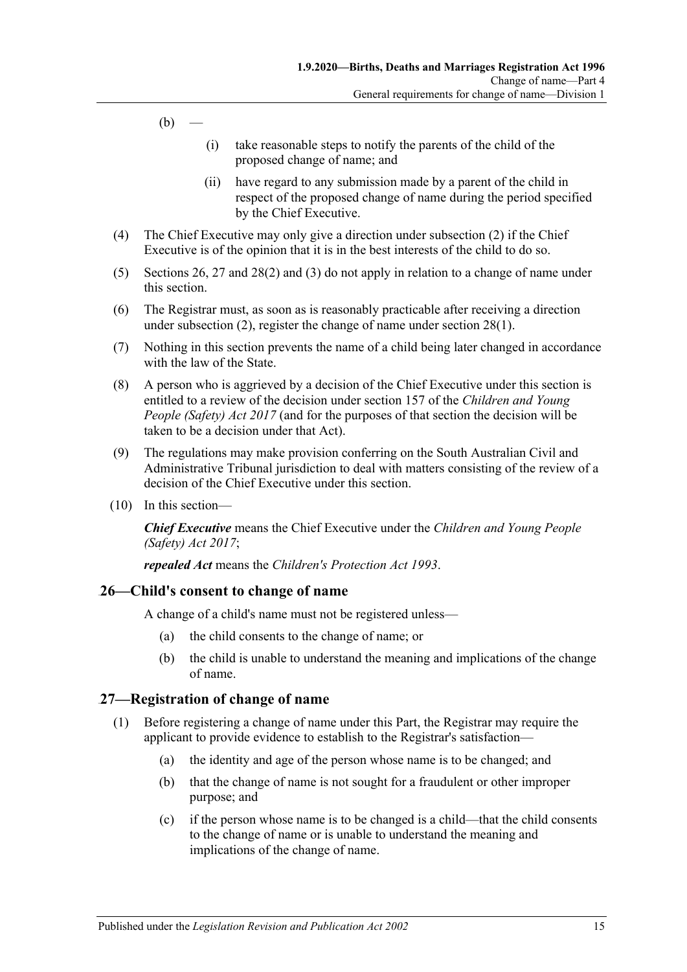- $(b)$ 
	- (i) take reasonable steps to notify the parents of the child of the proposed change of name; and
	- (ii) have regard to any submission made by a parent of the child in respect of the proposed change of name during the period specified by the Chief Executive.
- (4) The Chief Executive may only give a direction under [subsection](#page-13-2) (2) if the Chief Executive is of the opinion that it is in the best interests of the child to do so.
- (5) [Sections](#page-14-0) 26, [27](#page-14-1) and [28\(2\)](#page-15-5) and [\(3\)](#page-15-6) do not apply in relation to a change of name under this section.
- (6) The Registrar must, as soon as is reasonably practicable after receiving a direction under [subsection](#page-13-2) (2), register the change of name under [section](#page-15-7) 28(1).
- (7) Nothing in this section prevents the name of a child being later changed in accordance with the law of the State.
- (8) A person who is aggrieved by a decision of the Chief Executive under this section is entitled to a review of the decision under section 157 of the *[Children and Young](http://www.legislation.sa.gov.au/index.aspx?action=legref&type=act&legtitle=Children%20and%20Young%20People%20(Safety)%20Act%202017)  [People \(Safety\) Act](http://www.legislation.sa.gov.au/index.aspx?action=legref&type=act&legtitle=Children%20and%20Young%20People%20(Safety)%20Act%202017) 2017* (and for the purposes of that section the decision will be taken to be a decision under that Act).
- (9) The regulations may make provision conferring on the South Australian Civil and Administrative Tribunal jurisdiction to deal with matters consisting of the review of a decision of the Chief Executive under this section.
- (10) In this section—

*Chief Executive* means the Chief Executive under the *[Children and Young People](http://www.legislation.sa.gov.au/index.aspx?action=legref&type=act&legtitle=Children%20and%20Young%20People%20(Safety)%20Act%202017)  [\(Safety\) Act](http://www.legislation.sa.gov.au/index.aspx?action=legref&type=act&legtitle=Children%20and%20Young%20People%20(Safety)%20Act%202017) 2017*;

*repealed Act* means the *[Children's Protection Act](http://www.legislation.sa.gov.au/index.aspx?action=legref&type=act&legtitle=Childrens%20Protection%20Act%201993) 1993*.

## <span id="page-14-0"></span>37B**26—Child's consent to change of name**

A change of a child's name must not be registered unless—

- (a) the child consents to the change of name; or
- (b) the child is unable to understand the meaning and implications of the change of name.

## <span id="page-14-1"></span>38B**27—Registration of change of name**

- (1) Before registering a change of name under this Part, the Registrar may require the applicant to provide evidence to establish to the Registrar's satisfaction—
	- (a) the identity and age of the person whose name is to be changed; and
	- (b) that the change of name is not sought for a fraudulent or other improper purpose; and
	- (c) if the person whose name is to be changed is a child—that the child consents to the change of name or is unable to understand the meaning and implications of the change of name.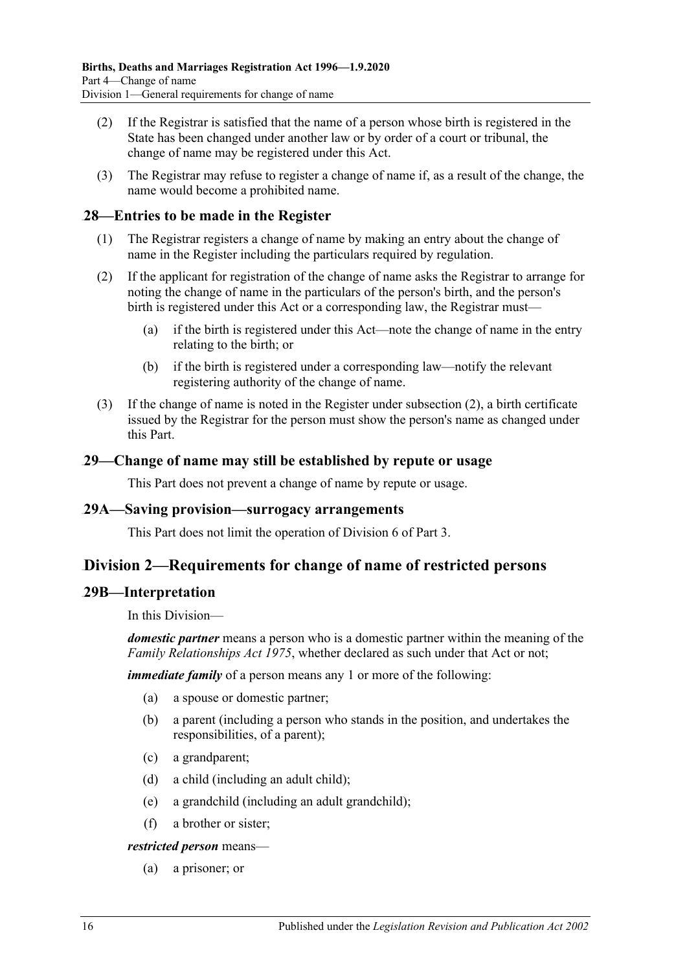- (2) If the Registrar is satisfied that the name of a person whose birth is registered in the State has been changed under another law or by order of a court or tribunal, the change of name may be registered under this Act.
- (3) The Registrar may refuse to register a change of name if, as a result of the change, the name would become a prohibited name.

## <span id="page-15-7"></span><span id="page-15-0"></span>39B**28—Entries to be made in the Register**

- (1) The Registrar registers a change of name by making an entry about the change of name in the Register including the particulars required by regulation.
- <span id="page-15-5"></span>(2) If the applicant for registration of the change of name asks the Registrar to arrange for noting the change of name in the particulars of the person's birth, and the person's birth is registered under this Act or a corresponding law, the Registrar must—
	- (a) if the birth is registered under this Act—note the change of name in the entry relating to the birth; or
	- (b) if the birth is registered under a corresponding law—notify the relevant registering authority of the change of name.
- <span id="page-15-6"></span>(3) If the change of name is noted in the Register under [subsection](#page-15-5) (2), a birth certificate issued by the Registrar for the person must show the person's name as changed under this Part.

## <span id="page-15-1"></span>40B**29—Change of name may still be established by repute or usage**

This Part does not prevent a change of name by repute or usage.

#### <span id="page-15-2"></span>41B**29A—Saving provision—surrogacy arrangements**

This Part does not limit the operation of [Division 6](#page-11-1) of [Part 3.](#page-7-0)

# <span id="page-15-3"></span>91B**Division 2—Requirements for change of name of restricted persons**

## <span id="page-15-4"></span>42B**29B—Interpretation**

In this Division—

*domestic partner* means a person who is a domestic partner within the meaning of the *[Family Relationships Act](http://www.legislation.sa.gov.au/index.aspx?action=legref&type=act&legtitle=Family%20Relationships%20Act%201975) 1975*, whether declared as such under that Act or not;

*immediate family* of a person means any 1 or more of the following:

- (a) a spouse or domestic partner;
- (b) a parent (including a person who stands in the position, and undertakes the responsibilities, of a parent);
- (c) a grandparent;
- (d) a child (including an adult child);
- (e) a grandchild (including an adult grandchild);
- (f) a brother or sister;

*restricted person* means—

(a) a prisoner; or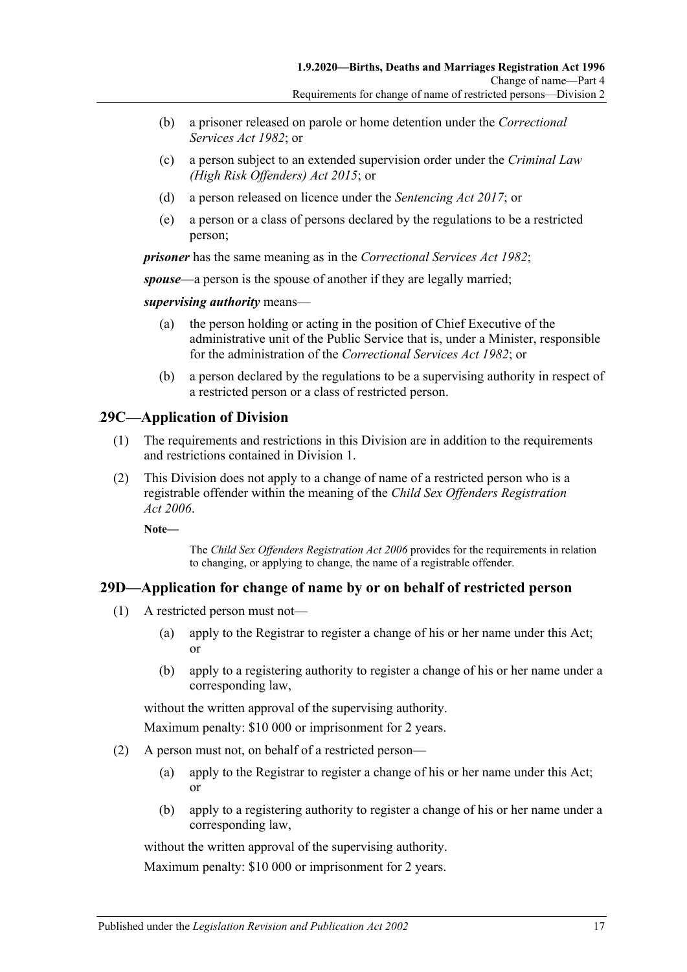- (b) a prisoner released on parole or home detention under the *[Correctional](http://www.legislation.sa.gov.au/index.aspx?action=legref&type=act&legtitle=Correctional%20Services%20Act%201982)  [Services Act](http://www.legislation.sa.gov.au/index.aspx?action=legref&type=act&legtitle=Correctional%20Services%20Act%201982) 1982*; or
- (c) a person subject to an extended supervision order under the *[Criminal Law](http://www.legislation.sa.gov.au/index.aspx?action=legref&type=act&legtitle=Criminal%20Law%20(High%20Risk%20Offenders)%20Act%202015)  [\(High Risk Offenders\) Act](http://www.legislation.sa.gov.au/index.aspx?action=legref&type=act&legtitle=Criminal%20Law%20(High%20Risk%20Offenders)%20Act%202015) 2015*; or
- (d) a person released on licence under the *[Sentencing Act](http://www.legislation.sa.gov.au/index.aspx?action=legref&type=act&legtitle=Sentencing%20Act%202017) 2017*; or
- (e) a person or a class of persons declared by the regulations to be a restricted person;

*prisoner* has the same meaning as in the *[Correctional Services Act](http://www.legislation.sa.gov.au/index.aspx?action=legref&type=act&legtitle=Correctional%20Services%20Act%201982) 1982*;

*spouse*—a person is the spouse of another if they are legally married;

*supervising authority* means—

- (a) the person holding or acting in the position of Chief Executive of the administrative unit of the Public Service that is, under a Minister, responsible for the administration of the *[Correctional Services Act](http://www.legislation.sa.gov.au/index.aspx?action=legref&type=act&legtitle=Correctional%20Services%20Act%201982) 1982*; or
- (b) a person declared by the regulations to be a supervising authority in respect of a restricted person or a class of restricted person.

# <span id="page-16-0"></span>43B**29C—Application of Division**

- (1) The requirements and restrictions in this Division are in addition to the requirements and restrictions contained in [Division 1.](#page-12-1)
- (2) This Division does not apply to a change of name of a restricted person who is a registrable offender within the meaning of the *[Child Sex Offenders Registration](http://www.legislation.sa.gov.au/index.aspx?action=legref&type=act&legtitle=Child%20Sex%20Offenders%20Registration%20Act%202006)  Act [2006](http://www.legislation.sa.gov.au/index.aspx?action=legref&type=act&legtitle=Child%20Sex%20Offenders%20Registration%20Act%202006)*.

**Note—**

The *[Child Sex Offenders Registration Act](http://www.legislation.sa.gov.au/index.aspx?action=legref&type=act&legtitle=Child%20Sex%20Offenders%20Registration%20Act%202006) 2006* provides for the requirements in relation to changing, or applying to change, the name of a registrable offender.

## <span id="page-16-2"></span><span id="page-16-1"></span>44B**29D—Application for change of name by or on behalf of restricted person**

- (1) A restricted person must not—
	- (a) apply to the Registrar to register a change of his or her name under this Act; or
	- (b) apply to a registering authority to register a change of his or her name under a corresponding law,

without the written approval of the supervising authority.

Maximum penalty: \$10 000 or imprisonment for 2 years.

- <span id="page-16-3"></span>(2) A person must not, on behalf of a restricted person—
	- (a) apply to the Registrar to register a change of his or her name under this Act; or
	- (b) apply to a registering authority to register a change of his or her name under a corresponding law,

without the written approval of the supervising authority.

Maximum penalty: \$10 000 or imprisonment for 2 years.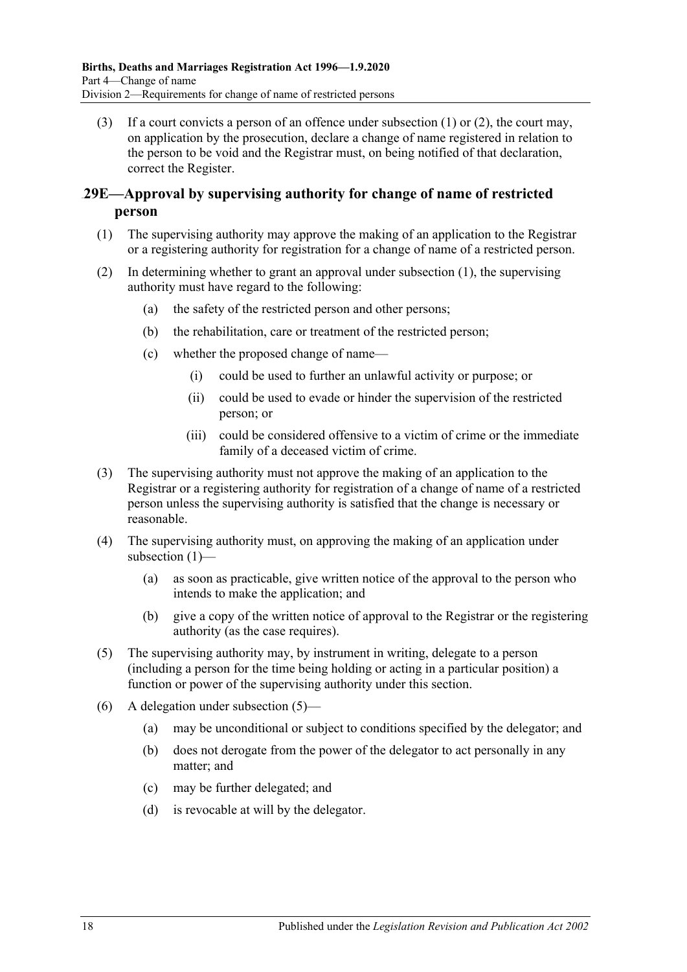(3) If a court convicts a person of an offence under subsection  $(1)$  or  $(2)$ , the court may, on application by the prosecution, declare a change of name registered in relation to the person to be void and the Registrar must, on being notified of that declaration, correct the Register.

## <span id="page-17-0"></span>45B**29E—Approval by supervising authority for change of name of restricted person**

- <span id="page-17-1"></span>(1) The supervising authority may approve the making of an application to the Registrar or a registering authority for registration for a change of name of a restricted person.
- (2) In determining whether to grant an approval under [subsection](#page-17-1) (1), the supervising authority must have regard to the following:
	- (a) the safety of the restricted person and other persons;
	- (b) the rehabilitation, care or treatment of the restricted person;
	- (c) whether the proposed change of name—
		- (i) could be used to further an unlawful activity or purpose; or
		- (ii) could be used to evade or hinder the supervision of the restricted person; or
		- (iii) could be considered offensive to a victim of crime or the immediate family of a deceased victim of crime.
- (3) The supervising authority must not approve the making of an application to the Registrar or a registering authority for registration of a change of name of a restricted person unless the supervising authority is satisfied that the change is necessary or reasonable.
- (4) The supervising authority must, on approving the making of an application under [subsection](#page-17-1) (1)—
	- (a) as soon as practicable, give written notice of the approval to the person who intends to make the application; and
	- (b) give a copy of the written notice of approval to the Registrar or the registering authority (as the case requires).
- <span id="page-17-2"></span>(5) The supervising authority may, by instrument in writing, delegate to a person (including a person for the time being holding or acting in a particular position) a function or power of the supervising authority under this section.
- (6) A delegation under [subsection](#page-17-2) (5)—
	- (a) may be unconditional or subject to conditions specified by the delegator; and
	- (b) does not derogate from the power of the delegator to act personally in any matter; and
	- (c) may be further delegated; and
	- (d) is revocable at will by the delegator.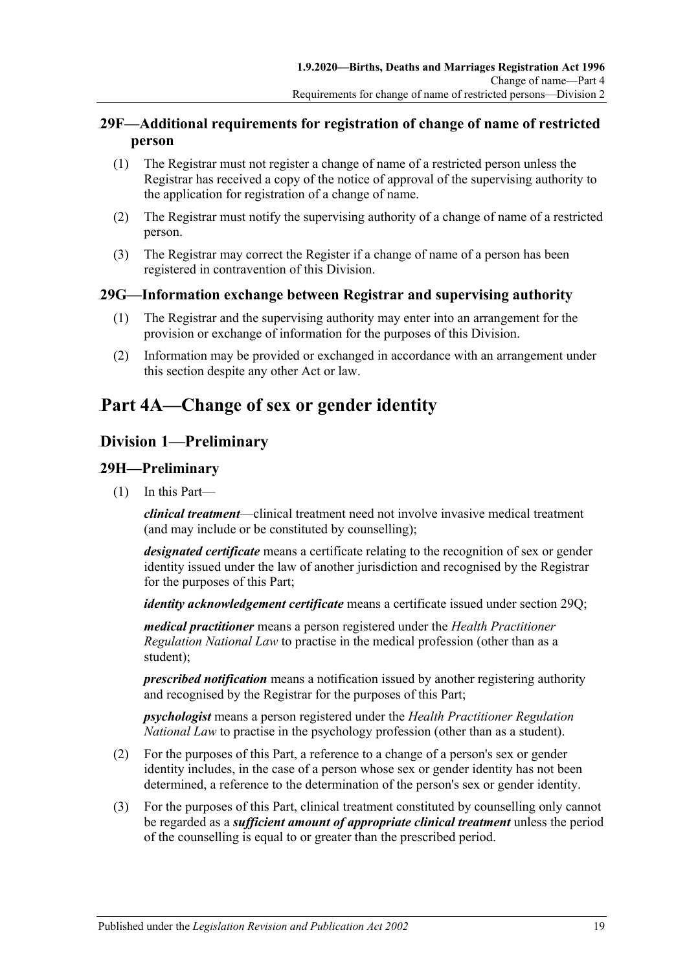# <span id="page-18-0"></span>46B**29F—Additional requirements for registration of change of name of restricted person**

- (1) The Registrar must not register a change of name of a restricted person unless the Registrar has received a copy of the notice of approval of the supervising authority to the application for registration of a change of name.
- (2) The Registrar must notify the supervising authority of a change of name of a restricted person.
- (3) The Registrar may correct the Register if a change of name of a person has been registered in contravention of this Division.

# <span id="page-18-1"></span>47B**29G—Information exchange between Registrar and supervising authority**

- (1) The Registrar and the supervising authority may enter into an arrangement for the provision or exchange of information for the purposes of this Division.
- (2) Information may be provided or exchanged in accordance with an arrangement under this section despite any other Act or law.

# <span id="page-18-2"></span>**Part 4A—Change of sex or gender identity**

# <span id="page-18-3"></span>92B**Division 1—Preliminary**

## <span id="page-18-4"></span>48B**29H—Preliminary**

(1) In this Part—

*clinical treatment*—clinical treatment need not involve invasive medical treatment (and may include or be constituted by counselling);

*designated certificate* means a certificate relating to the recognition of sex or gender identity issued under the law of another jurisdiction and recognised by the Registrar for the purposes of this Part;

*identity acknowledgement certificate* means a certificate issued under [section](#page-22-0) 29Q;

*medical practitioner* means a person registered under the *Health Practitioner Regulation National Law* to practise in the medical profession (other than as a student);

*prescribed notification* means a notification issued by another registering authority and recognised by the Registrar for the purposes of this Part;

*psychologist* means a person registered under the *Health Practitioner Regulation National Law* to practise in the psychology profession (other than as a student).

- (2) For the purposes of this Part, a reference to a change of a person's sex or gender identity includes, in the case of a person whose sex or gender identity has not been determined, a reference to the determination of the person's sex or gender identity.
- (3) For the purposes of this Part, clinical treatment constituted by counselling only cannot be regarded as a *sufficient amount of appropriate clinical treatment* unless the period of the counselling is equal to or greater than the prescribed period.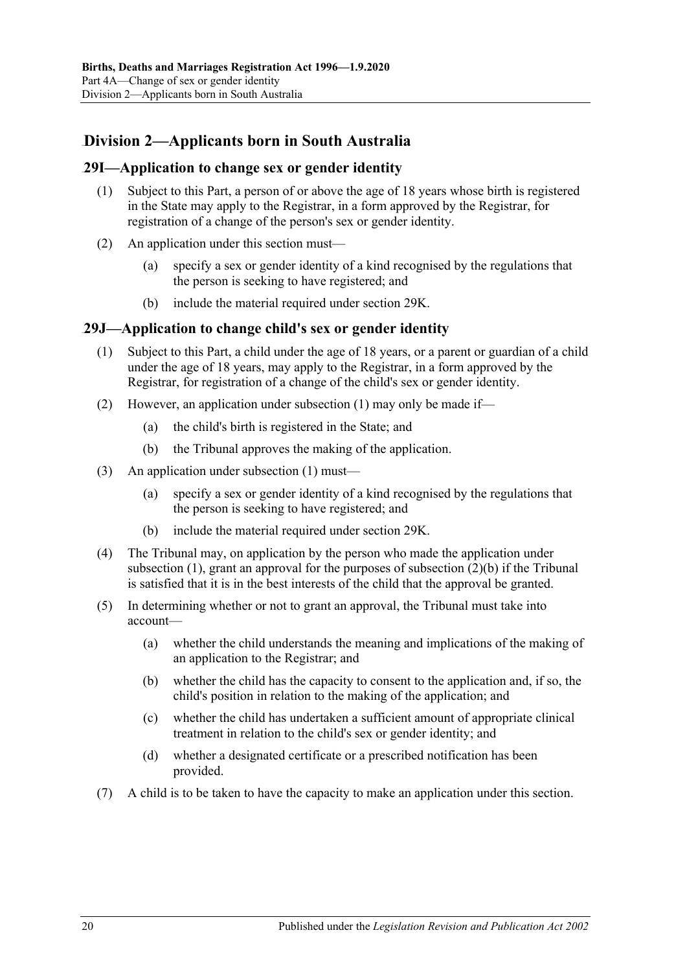# <span id="page-19-0"></span>93B**Division 2—Applicants born in South Australia**

## <span id="page-19-1"></span>49B**29I—Application to change sex or gender identity**

- (1) Subject to this Part, a person of or above the age of 18 years whose birth is registered in the State may apply to the Registrar, in a form approved by the Registrar, for registration of a change of the person's sex or gender identity.
- (2) An application under this section must—
	- (a) specify a sex or gender identity of a kind recognised by the regulations that the person is seeking to have registered; and
	- (b) include the material required under [section](#page-20-0) 29K.

## <span id="page-19-3"></span><span id="page-19-2"></span>50B**29J—Application to change child's sex or gender identity**

- (1) Subject to this Part, a child under the age of 18 years, or a parent or guardian of a child under the age of 18 years, may apply to the Registrar, in a form approved by the Registrar, for registration of a change of the child's sex or gender identity.
- (2) However, an application under [subsection](#page-19-3) (1) may only be made if—
	- (a) the child's birth is registered in the State; and
	- (b) the Tribunal approves the making of the application.
- <span id="page-19-4"></span>(3) An application under [subsection](#page-19-3) (1) must—
	- (a) specify a sex or gender identity of a kind recognised by the regulations that the person is seeking to have registered; and
	- (b) include the material required under [section](#page-20-0) 29K.
- (4) The Tribunal may, on application by the person who made the application under [subsection](#page-19-3) (1), grant an approval for the purposes of [subsection](#page-19-4) (2)(b) if the Tribunal is satisfied that it is in the best interests of the child that the approval be granted.
- (5) In determining whether or not to grant an approval, the Tribunal must take into account—
	- (a) whether the child understands the meaning and implications of the making of an application to the Registrar; and
	- (b) whether the child has the capacity to consent to the application and, if so, the child's position in relation to the making of the application; and
	- (c) whether the child has undertaken a sufficient amount of appropriate clinical treatment in relation to the child's sex or gender identity; and
	- (d) whether a designated certificate or a prescribed notification has been provided.
- (7) A child is to be taken to have the capacity to make an application under this section.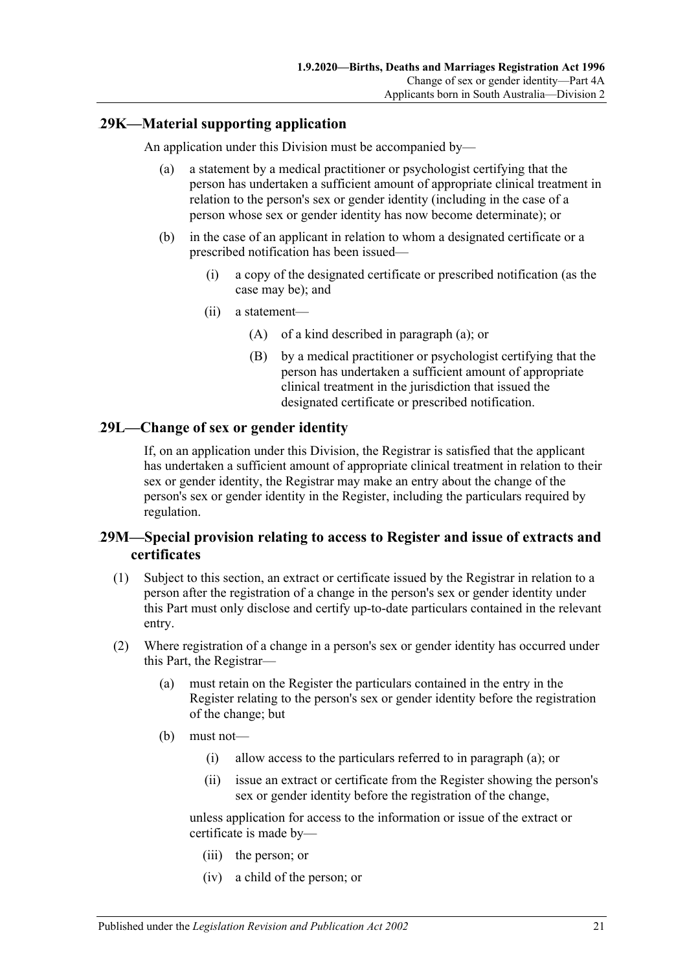## <span id="page-20-3"></span><span id="page-20-0"></span>51B**29K—Material supporting application**

An application under this Division must be accompanied by—

- (a) a statement by a medical practitioner or psychologist certifying that the person has undertaken a sufficient amount of appropriate clinical treatment in relation to the person's sex or gender identity (including in the case of a person whose sex or gender identity has now become determinate); or
- (b) in the case of an applicant in relation to whom a designated certificate or a prescribed notification has been issued—
	- (i) a copy of the designated certificate or prescribed notification (as the case may be); and
	- (ii) a statement—
		- (A) of a kind described in [paragraph](#page-20-3) (a); or
		- (B) by a medical practitioner or psychologist certifying that the person has undertaken a sufficient amount of appropriate clinical treatment in the jurisdiction that issued the designated certificate or prescribed notification.

## <span id="page-20-1"></span>52B**29L—Change of sex or gender identity**

If, on an application under this Division, the Registrar is satisfied that the applicant has undertaken a sufficient amount of appropriate clinical treatment in relation to their sex or gender identity, the Registrar may make an entry about the change of the person's sex or gender identity in the Register, including the particulars required by regulation.

## <span id="page-20-2"></span>53B**29M—Special provision relating to access to Register and issue of extracts and certificates**

- (1) Subject to this section, an extract or certificate issued by the Registrar in relation to a person after the registration of a change in the person's sex or gender identity under this Part must only disclose and certify up-to-date particulars contained in the relevant entry.
- <span id="page-20-4"></span>(2) Where registration of a change in a person's sex or gender identity has occurred under this Part, the Registrar—
	- (a) must retain on the Register the particulars contained in the entry in the Register relating to the person's sex or gender identity before the registration of the change; but
	- (b) must not—
		- (i) allow access to the particulars referred to in [paragraph](#page-20-4) (a); or
		- (ii) issue an extract or certificate from the Register showing the person's sex or gender identity before the registration of the change,

unless application for access to the information or issue of the extract or certificate is made by—

- (iii) the person; or
- (iv) a child of the person; or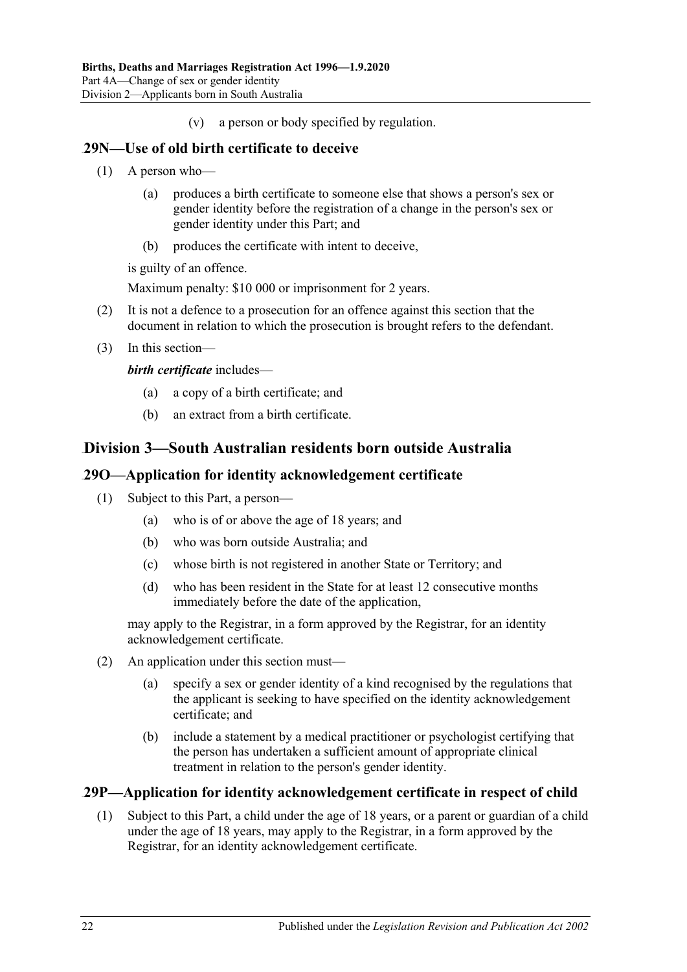(v) a person or body specified by regulation.

## <span id="page-21-0"></span>54B**29N—Use of old birth certificate to deceive**

- (1) A person who—
	- (a) produces a birth certificate to someone else that shows a person's sex or gender identity before the registration of a change in the person's sex or gender identity under this Part; and
	- (b) produces the certificate with intent to deceive,

is guilty of an offence.

Maximum penalty: \$10 000 or imprisonment for 2 years.

- (2) It is not a defence to a prosecution for an offence against this section that the document in relation to which the prosecution is brought refers to the defendant.
- (3) In this section—

*birth certificate* includes—

- (a) a copy of a birth certificate; and
- (b) an extract from a birth certificate.

# <span id="page-21-1"></span>94B**Division 3—South Australian residents born outside Australia**

## <span id="page-21-2"></span>55B**29O—Application for identity acknowledgement certificate**

- (1) Subject to this Part, a person—
	- (a) who is of or above the age of 18 years; and
	- (b) who was born outside Australia; and
	- (c) whose birth is not registered in another State or Territory; and
	- (d) who has been resident in the State for at least 12 consecutive months immediately before the date of the application,

may apply to the Registrar, in a form approved by the Registrar, for an identity acknowledgement certificate.

- (2) An application under this section must—
	- (a) specify a sex or gender identity of a kind recognised by the regulations that the applicant is seeking to have specified on the identity acknowledgement certificate; and
	- (b) include a statement by a medical practitioner or psychologist certifying that the person has undertaken a sufficient amount of appropriate clinical treatment in relation to the person's gender identity.

## <span id="page-21-4"></span><span id="page-21-3"></span>56B**29P—Application for identity acknowledgement certificate in respect of child**

(1) Subject to this Part, a child under the age of 18 years, or a parent or guardian of a child under the age of 18 years, may apply to the Registrar, in a form approved by the Registrar, for an identity acknowledgement certificate.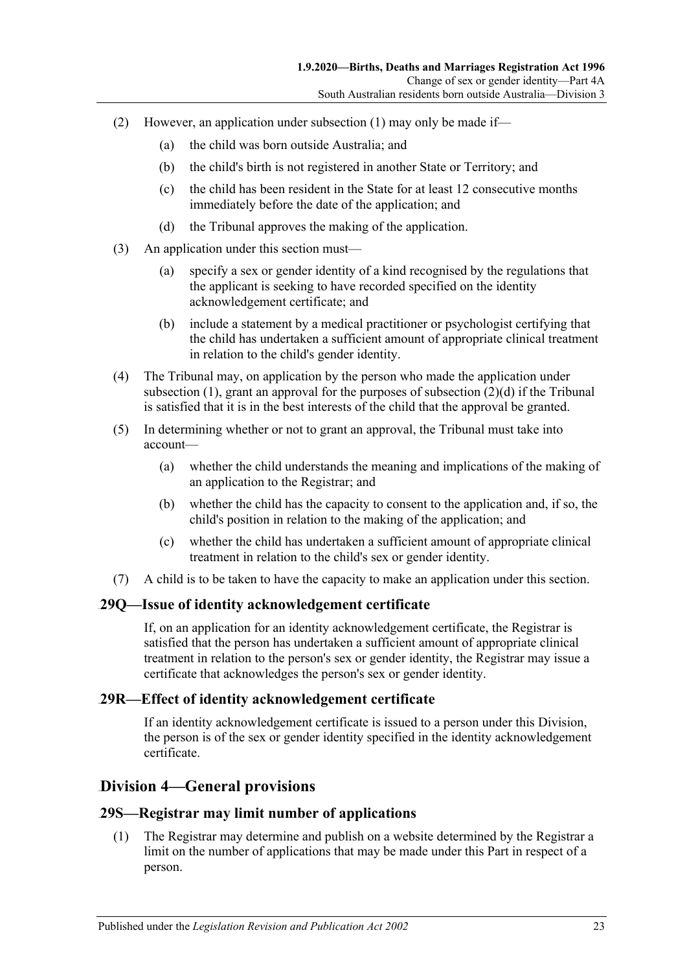- (2) However, an application under [subsection](#page-21-4) (1) may only be made if—
	- (a) the child was born outside Australia; and
	- (b) the child's birth is not registered in another State or Territory; and
	- (c) the child has been resident in the State for at least 12 consecutive months immediately before the date of the application; and
	- (d) the Tribunal approves the making of the application.
- <span id="page-22-4"></span>(3) An application under this section must—
	- (a) specify a sex or gender identity of a kind recognised by the regulations that the applicant is seeking to have recorded specified on the identity acknowledgement certificate; and
	- (b) include a statement by a medical practitioner or psychologist certifying that the child has undertaken a sufficient amount of appropriate clinical treatment in relation to the child's gender identity.
- (4) The Tribunal may, on application by the person who made the application under [subsection](#page-19-3)  $(1)$ , grant an approval for the purposes of [subsection](#page-22-4)  $(2)(d)$  if the Tribunal is satisfied that it is in the best interests of the child that the approval be granted.
- (5) In determining whether or not to grant an approval, the Tribunal must take into account—
	- (a) whether the child understands the meaning and implications of the making of an application to the Registrar; and
	- (b) whether the child has the capacity to consent to the application and, if so, the child's position in relation to the making of the application; and
	- (c) whether the child has undertaken a sufficient amount of appropriate clinical treatment in relation to the child's sex or gender identity.
- (7) A child is to be taken to have the capacity to make an application under this section.

## <span id="page-22-0"></span>57B**29Q—Issue of identity acknowledgement certificate**

If, on an application for an identity acknowledgement certificate, the Registrar is satisfied that the person has undertaken a sufficient amount of appropriate clinical treatment in relation to the person's sex or gender identity, the Registrar may issue a certificate that acknowledges the person's sex or gender identity.

## <span id="page-22-1"></span>58B**29R—Effect of identity acknowledgement certificate**

If an identity acknowledgement certificate is issued to a person under this Division, the person is of the sex or gender identity specified in the identity acknowledgement certificate.

# <span id="page-22-2"></span>95B**Division 4—General provisions**

## <span id="page-22-3"></span>59B**29S—Registrar may limit number of applications**

(1) The Registrar may determine and publish on a website determined by the Registrar a limit on the number of applications that may be made under this Part in respect of a person.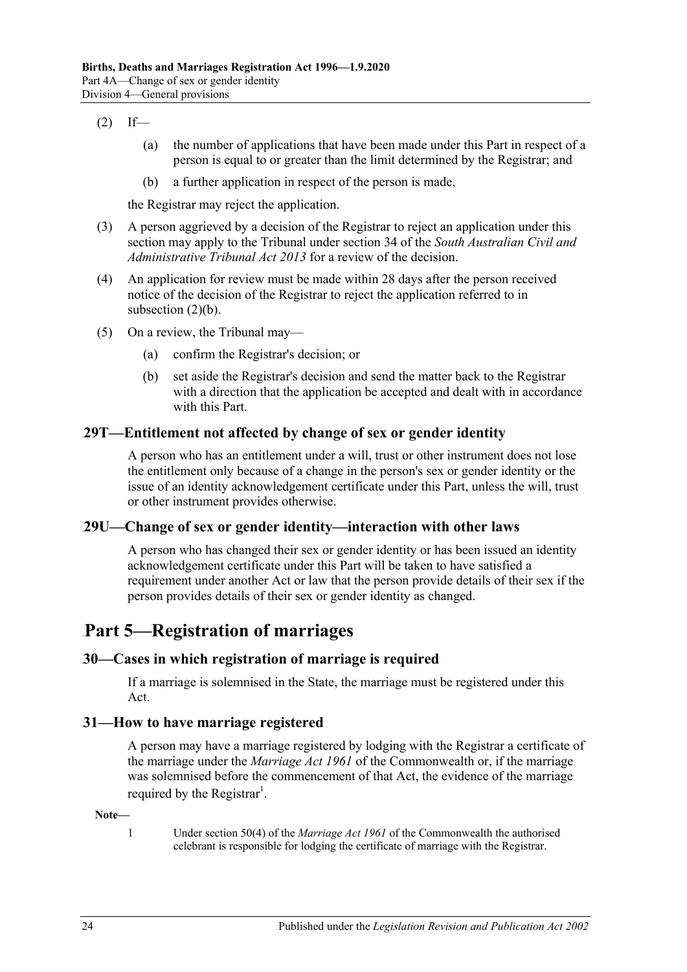#### <span id="page-23-5"></span> $(2)$  If—

- (a) the number of applications that have been made under this Part in respect of a person is equal to or greater than the limit determined by the Registrar; and
- (b) a further application in respect of the person is made,

the Registrar may reject the application.

- (3) A person aggrieved by a decision of the Registrar to reject an application under this section may apply to the Tribunal under section 34 of the *[South Australian Civil and](http://www.legislation.sa.gov.au/index.aspx?action=legref&type=act&legtitle=South%20Australian%20Civil%20and%20Administrative%20Tribunal%20Act%202013)  [Administrative Tribunal Act](http://www.legislation.sa.gov.au/index.aspx?action=legref&type=act&legtitle=South%20Australian%20Civil%20and%20Administrative%20Tribunal%20Act%202013) 2013* for a review of the decision.
- (4) An application for review must be made within 28 days after the person received notice of the decision of the Registrar to reject the application referred to in [subsection](#page-23-5) (2)(b).
- (5) On a review, the Tribunal may—
	- (a) confirm the Registrar's decision; or
	- (b) set aside the Registrar's decision and send the matter back to the Registrar with a direction that the application be accepted and dealt with in accordance with this Part.

#### <span id="page-23-0"></span>60B**29T—Entitlement not affected by change of sex or gender identity**

A person who has an entitlement under a will, trust or other instrument does not lose the entitlement only because of a change in the person's sex or gender identity or the issue of an identity acknowledgement certificate under this Part, unless the will, trust or other instrument provides otherwise.

## <span id="page-23-1"></span>61B**29U—Change of sex or gender identity—interaction with other laws**

A person who has changed their sex or gender identity or has been issued an identity acknowledgement certificate under this Part will be taken to have satisfied a requirement under another Act or law that the person provide details of their sex if the person provides details of their sex or gender identity as changed.

# <span id="page-23-2"></span>**Part 5—Registration of marriages**

## <span id="page-23-3"></span>3B**30—Cases in which registration of marriage is required**

If a marriage is solemnised in the State, the marriage must be registered under this Act.

#### <span id="page-23-4"></span>4B**31—How to have marriage registered**

A person may have a marriage registered by lodging with the Registrar a certificate of the marriage under the *Marriage Act 1961* of the Commonwealth or, if the marriage was solemnised before the commencement of that Act, the evidence of the marriage required by the Registrar<sup>1</sup>.

#### **Note—**

1 Under section 50(4) of the *Marriage Act 1961* of the Commonwealth the authorised celebrant is responsible for lodging the certificate of marriage with the Registrar.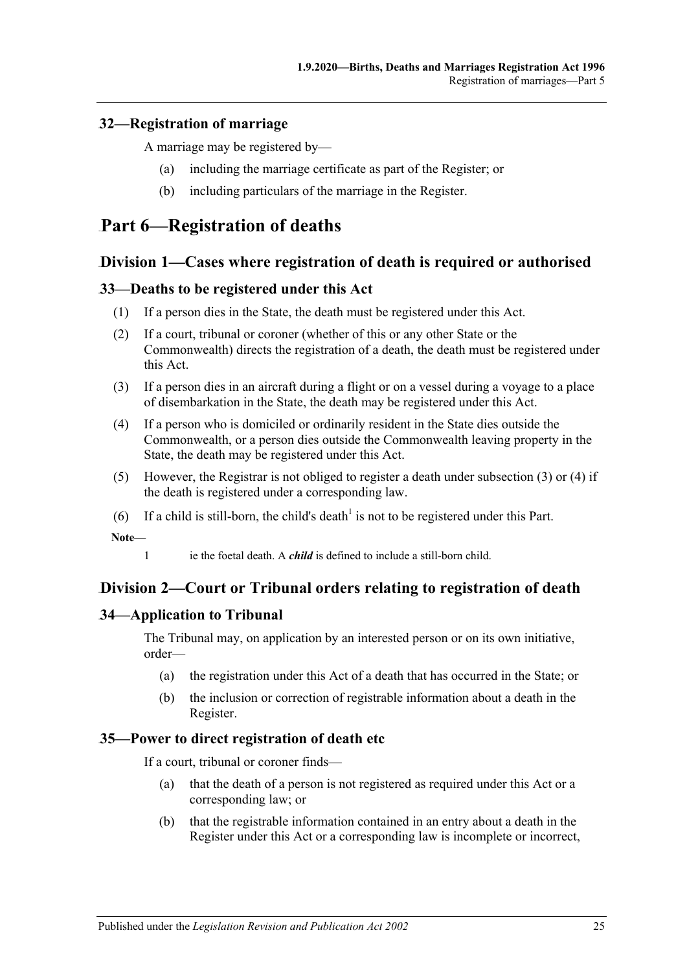## <span id="page-24-0"></span>5B**32—Registration of marriage**

A marriage may be registered by—

- (a) including the marriage certificate as part of the Register; or
- (b) including particulars of the marriage in the Register.

# <span id="page-24-2"></span><span id="page-24-1"></span>**Part 6—Registration of deaths**

# 96B**Division 1—Cases where registration of death is required or authorised**

## <span id="page-24-3"></span>62B**33—Deaths to be registered under this Act**

- (1) If a person dies in the State, the death must be registered under this Act.
- (2) If a court, tribunal or coroner (whether of this or any other State or the Commonwealth) directs the registration of a death, the death must be registered under this Act.
- <span id="page-24-7"></span>(3) If a person dies in an aircraft during a flight or on a vessel during a voyage to a place of disembarkation in the State, the death may be registered under this Act.
- <span id="page-24-8"></span>(4) If a person who is domiciled or ordinarily resident in the State dies outside the Commonwealth, or a person dies outside the Commonwealth leaving property in the State, the death may be registered under this Act.
- (5) However, the Registrar is not obliged to register a death under [subsection](#page-24-7) (3) or [\(4\)](#page-24-8) if the death is registered under a corresponding law.
- (6) If a child is still-born, the child's death<sup>1</sup> is not to be registered under this Part.

**Note—**

1 ie the foetal death. A *child* is defined to include a still-born child.

# <span id="page-24-4"></span>97B**Division 2—Court or Tribunal orders relating to registration of death**

## <span id="page-24-5"></span>63B**34—Application to Tribunal**

The Tribunal may, on application by an interested person or on its own initiative, order—

- (a) the registration under this Act of a death that has occurred in the State; or
- (b) the inclusion or correction of registrable information about a death in the Register.

## <span id="page-24-6"></span>64B**35—Power to direct registration of death etc**

If a court, tribunal or coroner finds—

- (a) that the death of a person is not registered as required under this Act or a corresponding law; or
- (b) that the registrable information contained in an entry about a death in the Register under this Act or a corresponding law is incomplete or incorrect,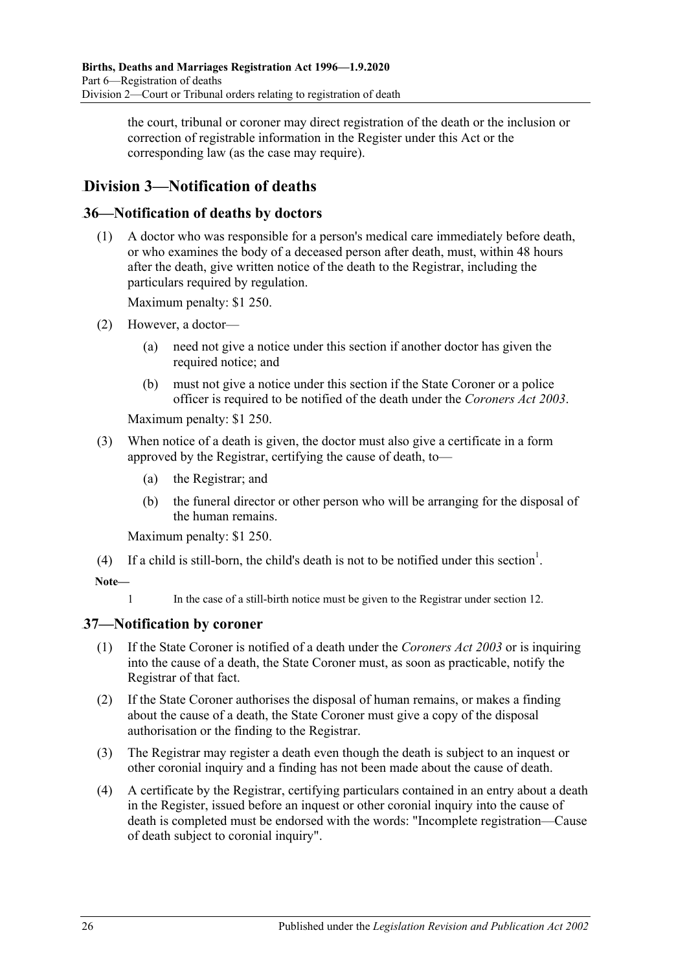the court, tribunal or coroner may direct registration of the death or the inclusion or correction of registrable information in the Register under this Act or the corresponding law (as the case may require).

# <span id="page-25-0"></span>98B**Division 3—Notification of deaths**

# <span id="page-25-1"></span>65B**36—Notification of deaths by doctors**

(1) A doctor who was responsible for a person's medical care immediately before death, or who examines the body of a deceased person after death, must, within 48 hours after the death, give written notice of the death to the Registrar, including the particulars required by regulation.

Maximum penalty: \$1 250.

- (2) However, a doctor—
	- (a) need not give a notice under this section if another doctor has given the required notice; and
	- (b) must not give a notice under this section if the State Coroner or a police officer is required to be notified of the death under the *[Coroners Act](http://www.legislation.sa.gov.au/index.aspx?action=legref&type=act&legtitle=Coroners%20Act%202003) 2003*.

Maximum penalty: \$1 250.

- (3) When notice of a death is given, the doctor must also give a certificate in a form approved by the Registrar, certifying the cause of death, to—
	- (a) the Registrar; and
	- (b) the funeral director or other person who will be arranging for the disposal of the human remains.

Maximum penalty: \$1 250.

(4) If a child is still-born, the child's death is not to be notified under this section<sup>1</sup>.

## **Note—**

1 In the case of a still-birth notice must be given to the Registrar under [section](#page-7-2) 12.

# <span id="page-25-2"></span>66B**37—Notification by coroner**

- (1) If the State Coroner is notified of a death under the *[Coroners Act](http://www.legislation.sa.gov.au/index.aspx?action=legref&type=act&legtitle=Coroners%20Act%202003) 2003* or is inquiring into the cause of a death, the State Coroner must, as soon as practicable, notify the Registrar of that fact.
- (2) If the State Coroner authorises the disposal of human remains, or makes a finding about the cause of a death, the State Coroner must give a copy of the disposal authorisation or the finding to the Registrar.
- (3) The Registrar may register a death even though the death is subject to an inquest or other coronial inquiry and a finding has not been made about the cause of death.
- (4) A certificate by the Registrar, certifying particulars contained in an entry about a death in the Register, issued before an inquest or other coronial inquiry into the cause of death is completed must be endorsed with the words: "Incomplete registration—Cause of death subject to coronial inquiry".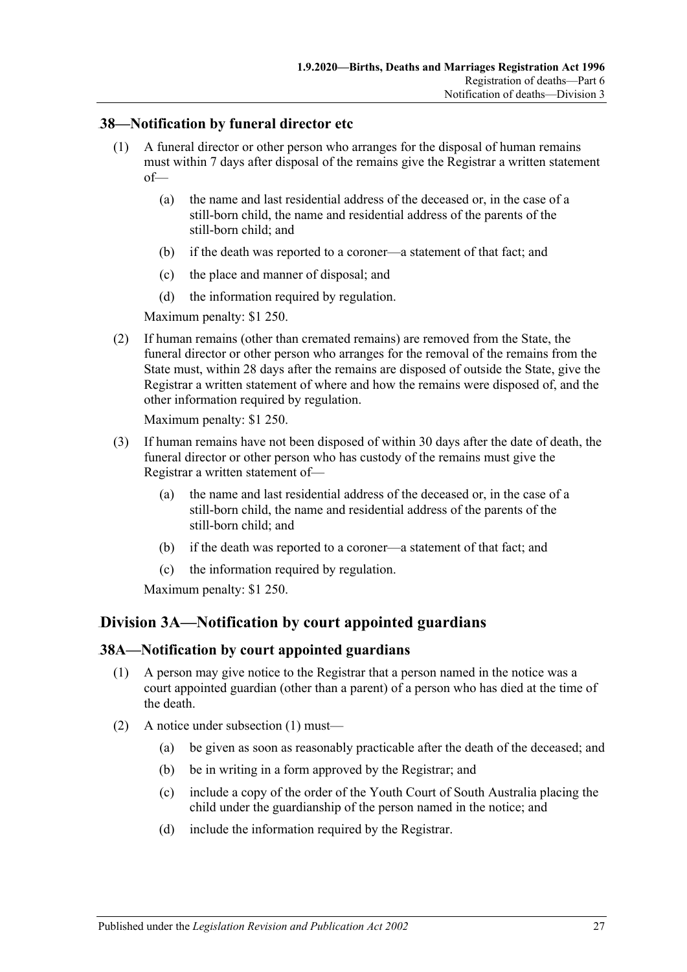## <span id="page-26-0"></span>67B**38—Notification by funeral director etc**

- (1) A funeral director or other person who arranges for the disposal of human remains must within 7 days after disposal of the remains give the Registrar a written statement of—
	- (a) the name and last residential address of the deceased or, in the case of a still-born child, the name and residential address of the parents of the still-born child; and
	- (b) if the death was reported to a coroner—a statement of that fact; and
	- (c) the place and manner of disposal; and
	- (d) the information required by regulation.

Maximum penalty: \$1 250.

(2) If human remains (other than cremated remains) are removed from the State, the funeral director or other person who arranges for the removal of the remains from the State must, within 28 days after the remains are disposed of outside the State, give the Registrar a written statement of where and how the remains were disposed of, and the other information required by regulation.

Maximum penalty: \$1 250.

- (3) If human remains have not been disposed of within 30 days after the date of death, the funeral director or other person who has custody of the remains must give the Registrar a written statement of—
	- (a) the name and last residential address of the deceased or, in the case of a still-born child, the name and residential address of the parents of the still-born child; and
	- (b) if the death was reported to a coroner—a statement of that fact; and
	- (c) the information required by regulation.

Maximum penalty: \$1 250.

# <span id="page-26-1"></span>Division 3A—Notification by court appointed guardians

## <span id="page-26-3"></span><span id="page-26-2"></span>68B**38A—Notification by court appointed guardians**

- (1) A person may give notice to the Registrar that a person named in the notice was a court appointed guardian (other than a parent) of a person who has died at the time of the death.
- (2) A notice under [subsection](#page-26-3) (1) must—
	- (a) be given as soon as reasonably practicable after the death of the deceased; and
	- (b) be in writing in a form approved by the Registrar; and
	- (c) include a copy of the order of the Youth Court of South Australia placing the child under the guardianship of the person named in the notice; and
	- (d) include the information required by the Registrar.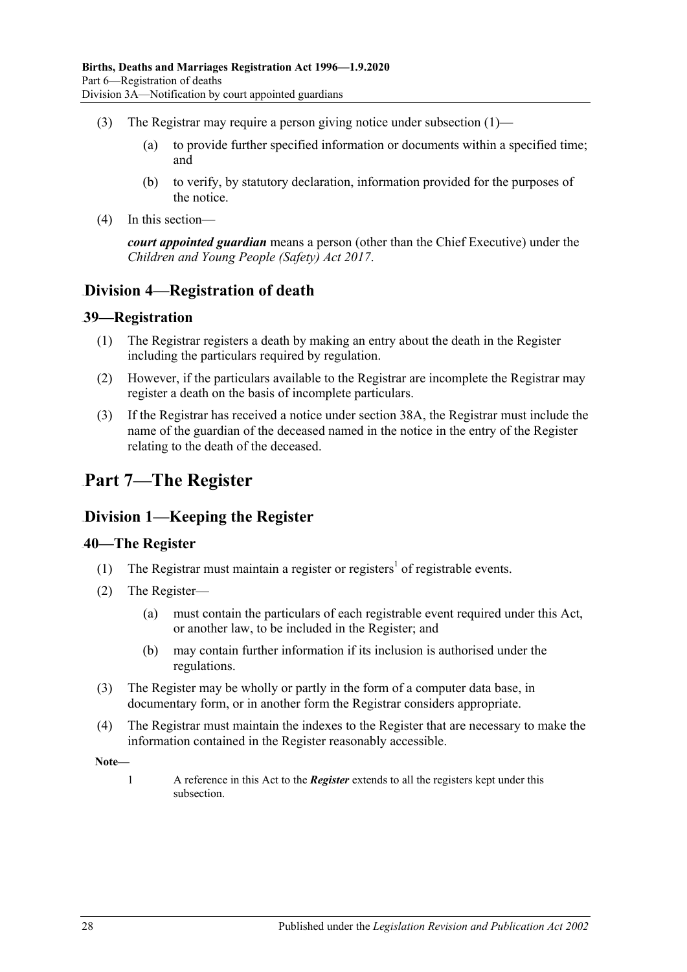- (3) The Registrar may require a person giving notice under [subsection](#page-26-3) (1)—
	- (a) to provide further specified information or documents within a specified time; and
	- (b) to verify, by statutory declaration, information provided for the purposes of the notice.
- (4) In this section—

*court appointed guardian* means a person (other than the Chief Executive) under the *[Children and Young People \(Safety\) Act](http://www.legislation.sa.gov.au/index.aspx?action=legref&type=act&legtitle=Children%20and%20Young%20People%20(Safety)%20Act%202017) 2017*.

# <span id="page-27-0"></span>100B**Division 4—Registration of death**

#### <span id="page-27-1"></span>69B**39—Registration**

- (1) The Registrar registers a death by making an entry about the death in the Register including the particulars required by regulation.
- (2) However, if the particulars available to the Registrar are incomplete the Registrar may register a death on the basis of incomplete particulars.
- (3) If the Registrar has received a notice under [section](#page-26-2) 38A, the Registrar must include the name of the guardian of the deceased named in the notice in the entry of the Register relating to the death of the deceased.

# <span id="page-27-2"></span>**Part 7—The Register**

# <span id="page-27-3"></span>101B**Division 1—Keeping the Register**

## <span id="page-27-4"></span>70B**40—The Register**

- (1) The Registrar must maintain a register or registers<sup>1</sup> of registrable events.
- <span id="page-27-5"></span>(2) The Register—
	- (a) must contain the particulars of each registrable event required under this Act, or another law, to be included in the Register; and
	- (b) may contain further information if its inclusion is authorised under the regulations.
- (3) The Register may be wholly or partly in the form of a computer data base, in documentary form, or in another form the Registrar considers appropriate.
- (4) The Registrar must maintain the indexes to the Register that are necessary to make the information contained in the Register reasonably accessible.

**Note—**

1 A reference in this Act to the *Register* extends to all the registers kept under this subsection.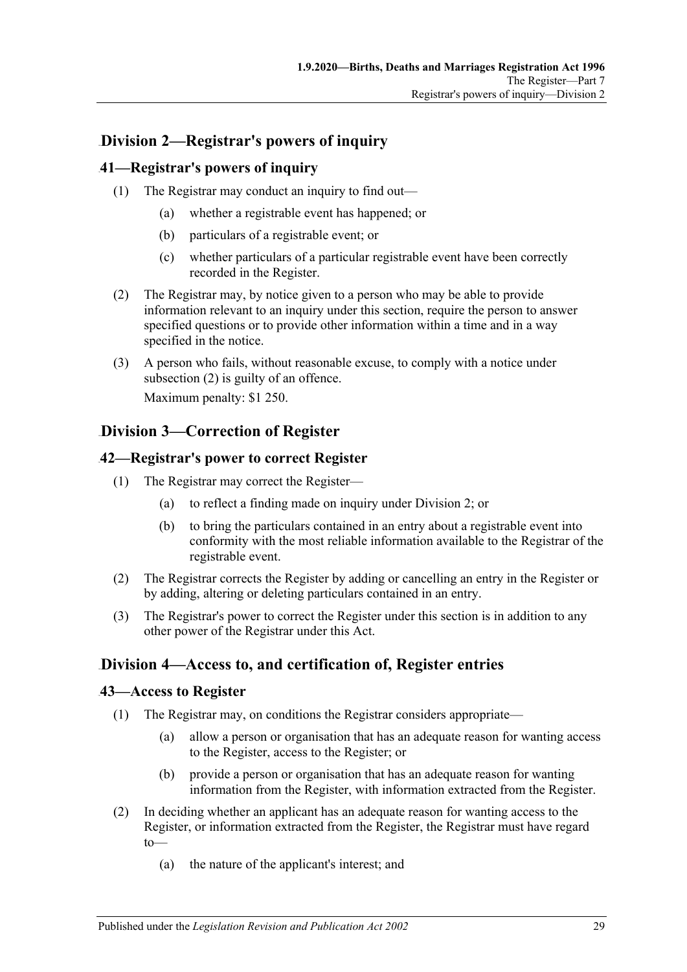# <span id="page-28-0"></span>102B**Division 2—Registrar's powers of inquiry**

## <span id="page-28-1"></span>71B**41—Registrar's powers of inquiry**

- (1) The Registrar may conduct an inquiry to find out—
	- (a) whether a registrable event has happened; or
	- (b) particulars of a registrable event; or
	- (c) whether particulars of a particular registrable event have been correctly recorded in the Register.
- <span id="page-28-6"></span>(2) The Registrar may, by notice given to a person who may be able to provide information relevant to an inquiry under this section, require the person to answer specified questions or to provide other information within a time and in a way specified in the notice.
- (3) A person who fails, without reasonable excuse, to comply with a notice under [subsection](#page-28-6) (2) is guilty of an offence.

Maximum penalty: \$1 250.

# <span id="page-28-2"></span>103B**Division 3—Correction of Register**

## <span id="page-28-3"></span>72B**42—Registrar's power to correct Register**

- (1) The Registrar may correct the Register—
	- (a) to reflect a finding made on inquiry under [Division 2;](#page-28-0) or
	- (b) to bring the particulars contained in an entry about a registrable event into conformity with the most reliable information available to the Registrar of the registrable event.
- (2) The Registrar corrects the Register by adding or cancelling an entry in the Register or by adding, altering or deleting particulars contained in an entry.
- (3) The Registrar's power to correct the Register under this section is in addition to any other power of the Registrar under this Act.

# <span id="page-28-4"></span>104B**Division 4—Access to, and certification of, Register entries**

## <span id="page-28-5"></span>73B**43—Access to Register**

- (1) The Registrar may, on conditions the Registrar considers appropriate—
	- (a) allow a person or organisation that has an adequate reason for wanting access to the Register, access to the Register; or
	- (b) provide a person or organisation that has an adequate reason for wanting information from the Register, with information extracted from the Register.
- (2) In deciding whether an applicant has an adequate reason for wanting access to the Register, or information extracted from the Register, the Registrar must have regard to—
	- (a) the nature of the applicant's interest; and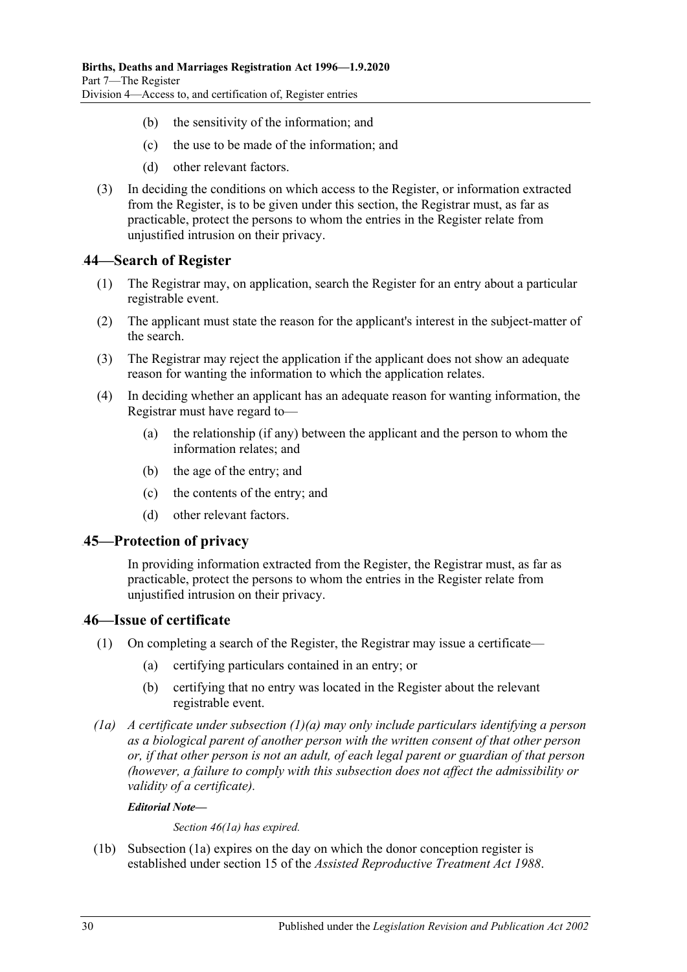- (b) the sensitivity of the information; and
- (c) the use to be made of the information; and
- (d) other relevant factors.
- (3) In deciding the conditions on which access to the Register, or information extracted from the Register, is to be given under this section, the Registrar must, as far as practicable, protect the persons to whom the entries in the Register relate from unjustified intrusion on their privacy.

## <span id="page-29-0"></span>74B**44—Search of Register**

- (1) The Registrar may, on application, search the Register for an entry about a particular registrable event.
- (2) The applicant must state the reason for the applicant's interest in the subject-matter of the search.
- (3) The Registrar may reject the application if the applicant does not show an adequate reason for wanting the information to which the application relates.
- (4) In deciding whether an applicant has an adequate reason for wanting information, the Registrar must have regard to—
	- (a) the relationship (if any) between the applicant and the person to whom the information relates; and
	- (b) the age of the entry; and
	- (c) the contents of the entry; and
	- (d) other relevant factors.

## <span id="page-29-1"></span>75B**45—Protection of privacy**

In providing information extracted from the Register, the Registrar must, as far as practicable, protect the persons to whom the entries in the Register relate from unjustified intrusion on their privacy.

## <span id="page-29-2"></span>76B**46—Issue of certificate**

- <span id="page-29-3"></span>(1) On completing a search of the Register, the Registrar may issue a certificate—
	- (a) certifying particulars contained in an entry; or
	- (b) certifying that no entry was located in the Register about the relevant registrable event.
- <span id="page-29-4"></span>*(1a) A certificate under [subsection](#page-29-3) (1)(a) may only include particulars identifying a person as a biological parent of another person with the written consent of that other person or, if that other person is not an adult, of each legal parent or guardian of that person (however, a failure to comply with this subsection does not affect the admissibility or validity of a certificate).*

#### *Editorial Note—*

*Section 46(1a) has expired.*

(1b) [Subsection](#page-29-4) (1a) expires on the day on which the donor conception register is established under section 15 of the *[Assisted Reproductive Treatment Act](http://www.legislation.sa.gov.au/index.aspx?action=legref&type=act&legtitle=Assisted%20Reproductive%20Treatment%20Act%201988) 1988*.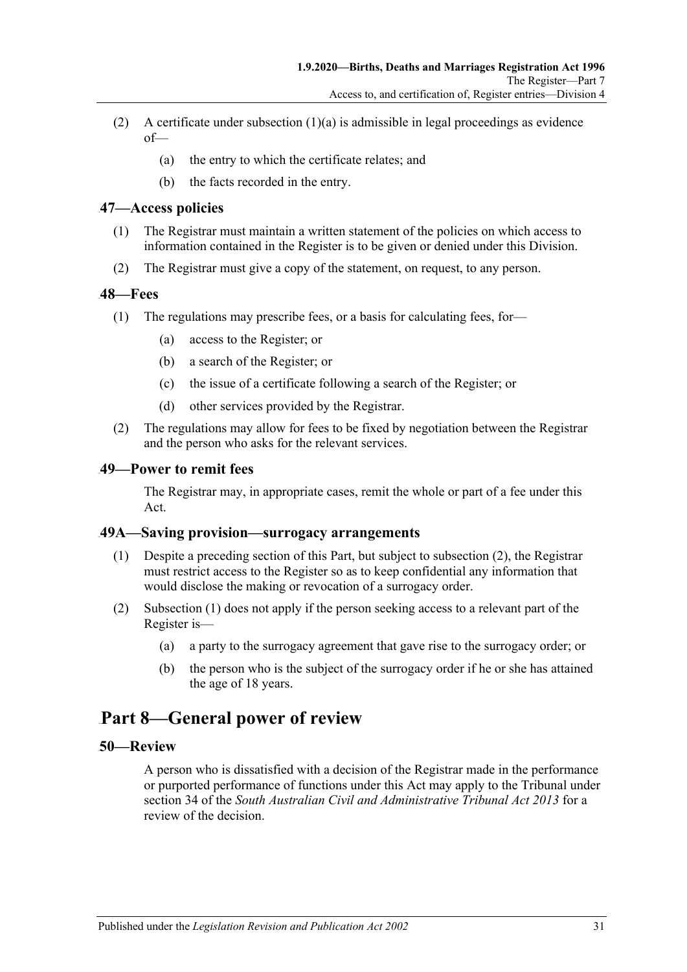- (2) A certificate under [subsection](#page-29-3)  $(1)(a)$  is admissible in legal proceedings as evidence  $of$ 
	- (a) the entry to which the certificate relates; and
	- (b) the facts recorded in the entry.

#### <span id="page-30-0"></span>77B**47—Access policies**

- (1) The Registrar must maintain a written statement of the policies on which access to information contained in the Register is to be given or denied under this Division.
- (2) The Registrar must give a copy of the statement, on request, to any person.

#### <span id="page-30-1"></span>78B**48—Fees**

- (1) The regulations may prescribe fees, or a basis for calculating fees, for—
	- (a) access to the Register; or
	- (b) a search of the Register; or
	- (c) the issue of a certificate following a search of the Register; or
	- (d) other services provided by the Registrar.
- (2) The regulations may allow for fees to be fixed by negotiation between the Registrar and the person who asks for the relevant services.

#### <span id="page-30-2"></span>79B**49—Power to remit fees**

The Registrar may, in appropriate cases, remit the whole or part of a fee under this Act.

#### <span id="page-30-7"></span><span id="page-30-3"></span>80B**49A—Saving provision—surrogacy arrangements**

- (1) Despite a preceding section of this Part, but subject to [subsection](#page-30-6) (2), the Registrar must restrict access to the Register so as to keep confidential any information that would disclose the making or revocation of a surrogacy order.
- <span id="page-30-6"></span>(2) [Subsection](#page-30-7) (1) does not apply if the person seeking access to a relevant part of the Register is—
	- (a) a party to the surrogacy agreement that gave rise to the surrogacy order; or
	- (b) the person who is the subject of the surrogacy order if he or she has attained the age of 18 years.

# <span id="page-30-4"></span>114B**Part 8—General power of review**

#### <span id="page-30-5"></span>6B**50—Review**

A person who is dissatisfied with a decision of the Registrar made in the performance or purported performance of functions under this Act may apply to the Tribunal under section 34 of the *[South Australian Civil and Administrative Tribunal Act](http://www.legislation.sa.gov.au/index.aspx?action=legref&type=act&legtitle=South%20Australian%20Civil%20and%20Administrative%20Tribunal%20Act%202013) 2013* for a review of the decision.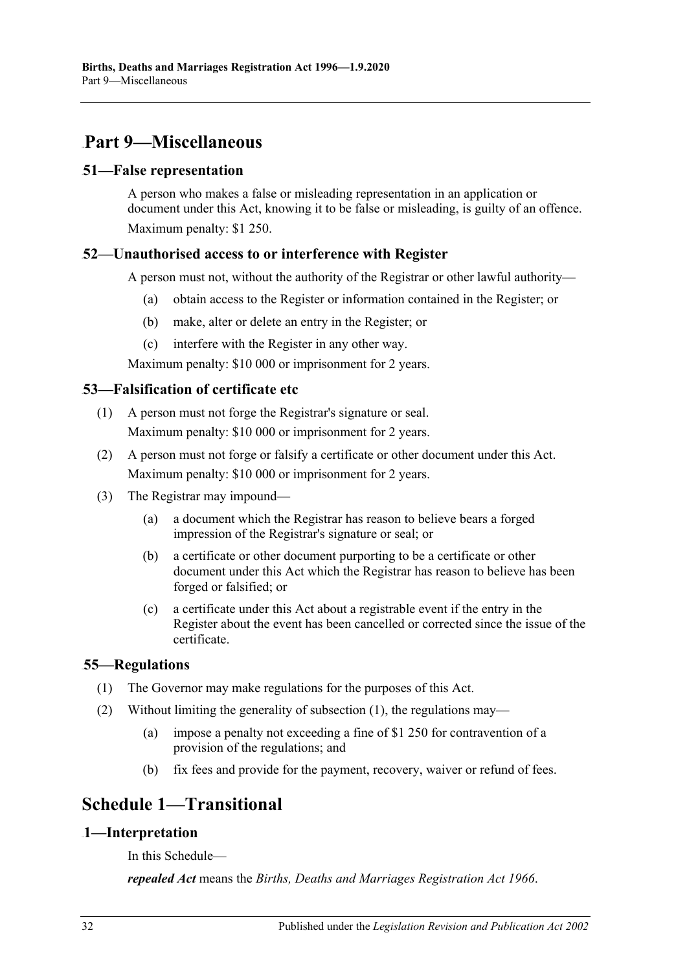# <span id="page-31-0"></span>115B**Part 9—Miscellaneous**

## <span id="page-31-1"></span>7B**51—False representation**

A person who makes a false or misleading representation in an application or document under this Act, knowing it to be false or misleading, is guilty of an offence. Maximum penalty: \$1 250.

# <span id="page-31-2"></span>8B**52—Unauthorised access to or interference with Register**

A person must not, without the authority of the Registrar or other lawful authority—

- (a) obtain access to the Register or information contained in the Register; or
- (b) make, alter or delete an entry in the Register; or
- (c) interfere with the Register in any other way.

Maximum penalty: \$10 000 or imprisonment for 2 years.

# <span id="page-31-3"></span>9B**53—Falsification of certificate etc**

- (1) A person must not forge the Registrar's signature or seal. Maximum penalty: \$10 000 or imprisonment for 2 years.
- (2) A person must not forge or falsify a certificate or other document under this Act. Maximum penalty: \$10 000 or imprisonment for 2 years.
- (3) The Registrar may impound—
	- (a) a document which the Registrar has reason to believe bears a forged impression of the Registrar's signature or seal; or
	- (b) a certificate or other document purporting to be a certificate or other document under this Act which the Registrar has reason to believe has been forged or falsified; or
	- (c) a certificate under this Act about a registrable event if the entry in the Register about the event has been cancelled or corrected since the issue of the certificate.

# <span id="page-31-7"></span><span id="page-31-4"></span>10B**55—Regulations**

- (1) The Governor may make regulations for the purposes of this Act.
- (2) Without limiting the generality of [subsection](#page-31-7) (1), the regulations may—
	- (a) impose a penalty not exceeding a fine of \$1 250 for contravention of a provision of the regulations; and
	- (b) fix fees and provide for the payment, recovery, waiver or refund of fees.

# <span id="page-31-5"></span>**Schedule 1—Transitional**

# <span id="page-31-6"></span>11B**1—Interpretation**

In this Schedule—

*repealed Act* means the *[Births, Deaths and Marriages Registration Act](http://www.legislation.sa.gov.au/index.aspx?action=legref&type=act&legtitle=Births%20Deaths%20and%20Marriages%20Registration%20Act%201966) 1966*.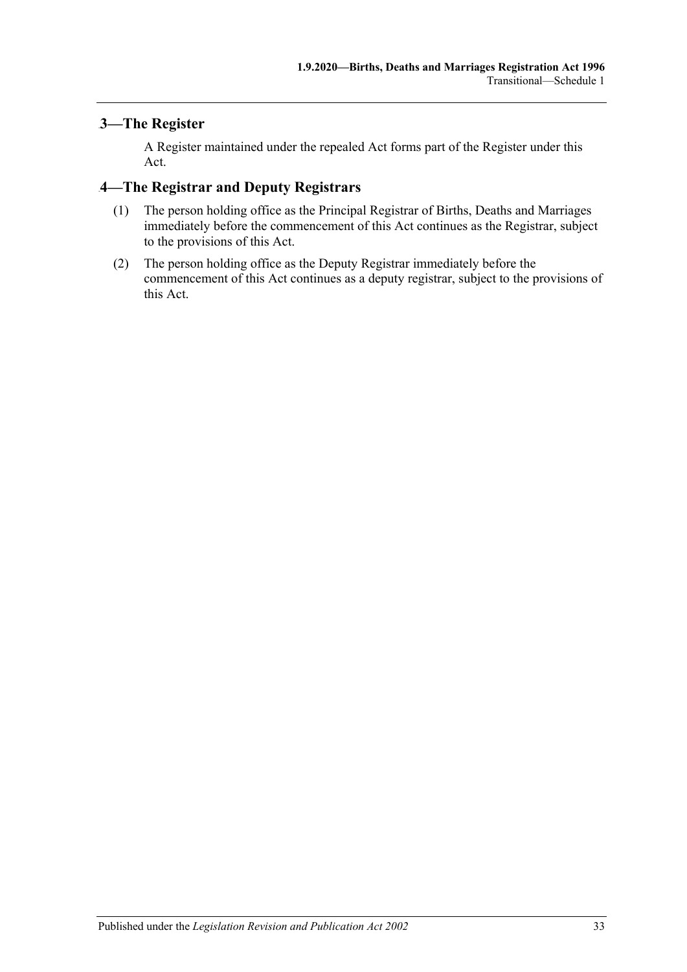# <span id="page-32-0"></span>3—The Register

A Register maintained under the repealed Act forms part of the Register under this Act.

# <span id="page-32-1"></span>13B**4—The Registrar and Deputy Registrars**

- (1) The person holding office as the Principal Registrar of Births, Deaths and Marriages immediately before the commencement of this Act continues as the Registrar, subject to the provisions of this Act.
- (2) The person holding office as the Deputy Registrar immediately before the commencement of this Act continues as a deputy registrar, subject to the provisions of this Act.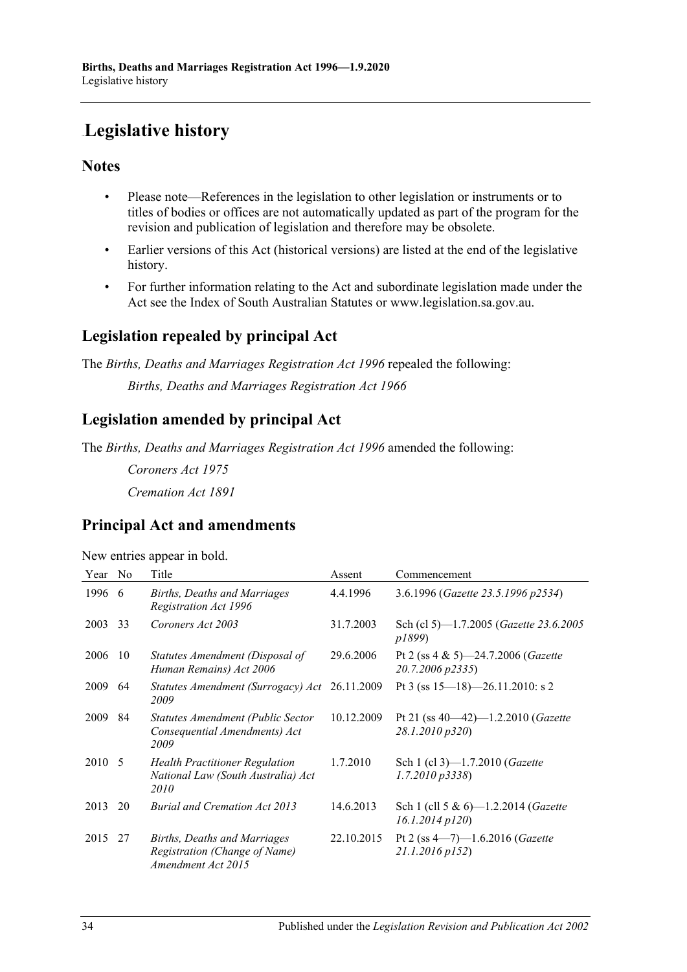# <span id="page-33-0"></span>**Legislative history**

# **Notes**

- Please note—References in the legislation to other legislation or instruments or to titles of bodies or offices are not automatically updated as part of the program for the revision and publication of legislation and therefore may be obsolete.
- Earlier versions of this Act (historical versions) are listed at the end of the legislative history.
- For further information relating to the Act and subordinate legislation made under the Act see the Index of South Australian Statutes or www.legislation.sa.gov.au.

# **Legislation repealed by principal Act**

The *Births, Deaths and Marriages Registration Act 1996* repealed the following: *Births, Deaths and Marriages Registration Act 1966*

# **Legislation amended by principal Act**

The *Births, Deaths and Marriages Registration Act 1996* amended the following:

*Coroners Act 1975 Cremation Act 1891*

# **Principal Act and amendments**

New entries appear in bold.

| Year   | No | Title                                                                               | Assent     | Commencement                                                       |
|--------|----|-------------------------------------------------------------------------------------|------------|--------------------------------------------------------------------|
| 1996   | -6 | <b>Births, Deaths and Marriages</b><br>Registration Act 1996                        | 4.4.1996   | 3.6.1996 (Gazette 23.5.1996 p2534)                                 |
| 2003   | 33 | Coroners Act 2003                                                                   | 31.7.2003  | Sch (cl 5)—1.7.2005 ( <i>Gazette 23.6.2005</i><br>p1899)           |
| 2006   | 10 | Statutes Amendment (Disposal of<br>Human Remains) Act 2006                          | 29.6.2006  | Pt 2 (ss $4 \& 5$ )-24.7.2006 ( <i>Gazette</i><br>20.7.2006 p2335) |
| 2009   | 64 | Statutes Amendment (Surrogacy) Act<br>2009                                          | 26.11.2009 | Pt 3 (ss $15-18$ )-26.11.2010: s 2                                 |
| 2009   | 84 | Statutes Amendment (Public Sector<br>Consequential Amendments) Act<br>2009          | 10.12.2009 | Pt 21 (ss $40-42$ )-1.2.2010 (Gazette<br>28.1.2010 p320)           |
| 2010 5 |    | <b>Health Practitioner Regulation</b><br>National Law (South Australia) Act<br>2010 | 1.7.2010   | Sch 1 (cl 3)-1.7.2010 (Gazette<br>$1.7.2010\,\overline{p}3338$     |
| 2013   | 20 | <b>Burial and Cremation Act 2013</b>                                                | 14.6.2013  | Sch 1 (cll 5 & 6)-1.2.2014 (Gazette<br>$16.1.2014$ $p120$          |
| 2015   | 27 | Births, Deaths and Marriages<br>Registration (Change of Name)<br>Amendment Act 2015 | 22.10.2015 | Pt 2 (ss $4 - 7$ ) -1.6.2016 ( <i>Gazette</i><br>21.1.2016 p152)   |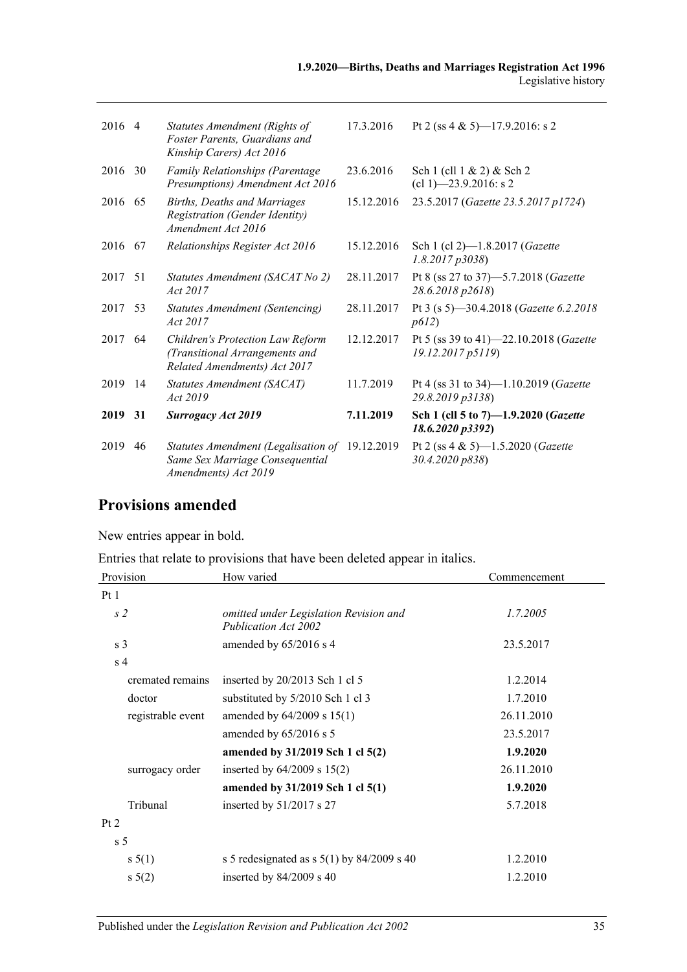| 2016 4  |     | Statutes Amendment (Rights of<br>Foster Parents, Guardians and<br>Kinship Carers) Act 2016                | 17.3.2016  | Pt 2 (ss 4 & 5) -17.9.2016: s 2                                  |
|---------|-----|-----------------------------------------------------------------------------------------------------------|------------|------------------------------------------------------------------|
| 2016    | 30  | Family Relationships (Parentage<br>Presumptions) Amendment Act 2016                                       | 23.6.2016  | Sch 1 (cll 1 & 2) & Sch 2<br>$(cl 1)$ —23.9.2016: s 2            |
| 2016 65 |     | <b>Births, Deaths and Marriages</b><br><b>Registration (Gender Identity)</b><br>Amendment Act 2016        | 15.12.2016 | 23.5.2017 (Gazette 23.5.2017 p1724)                              |
| 2016 67 |     | Relationships Register Act 2016                                                                           | 15.12.2016 | Sch 1 (cl 2)-1.8.2017 (Gazette<br>1.8.2017p3038                  |
| 2017    | 51  | Statutes Amendment (SACAT No 2)<br>Act 2017                                                               | 28.11.2017 | Pt 8 (ss 27 to 37)–5.7.2018 (Gazette<br>28.6.2018 p2618)         |
| 2017 53 |     | <b>Statutes Amendment (Sentencing)</b><br>Act 2017                                                        | 28.11.2017 | Pt 3 (s 5)-30.4.2018 ( <i>Gazette 6.2.2018</i><br>p612)          |
| 2017    | 64  | Children's Protection Law Reform<br>(Transitional Arrangements and<br>Related Amendments) Act 2017        | 12.12.2017 | Pt 5 (ss 39 to 41)–22.10.2018 (Gazette<br>19.12.2017 p5119)      |
| 2019    | -14 | Statutes Amendment (SACAT)<br>Act 2019                                                                    | 11.7.2019  | Pt 4 (ss 31 to 34)-1.10.2019 (Gazette<br>29.8.2019 p3138)        |
| 2019    | 31  | <b>Surrogacy Act 2019</b>                                                                                 | 7.11.2019  | Sch 1 (cll 5 to 7)-1.9.2020 (Gazette<br>18.6.2020 p3392)         |
| 2019    | 46  | Statutes Amendment (Legalisation of 19.12.2019<br>Same Sex Marriage Consequential<br>Amendments) Act 2019 |            | Pt 2 (ss $4 \& 5$ )-1.5.2020 ( <i>Gazette</i><br>30.4.2020 p838) |

# **Provisions amended**

New entries appear in bold.

Entries that relate to provisions that have been deleted appear in italics.

| Provision         | How varied                                                     | Commencement |
|-------------------|----------------------------------------------------------------|--------------|
| Pt1               |                                                                |              |
| s <sub>2</sub>    | omitted under Legislation Revision and<br>Publication Act 2002 | 1.7.2005     |
| s <sub>3</sub>    | amended by $65/2016$ s 4                                       | 23.5.2017    |
| s <sub>4</sub>    |                                                                |              |
| cremated remains  | inserted by 20/2013 Sch 1 cl 5                                 | 1.2.2014     |
| doctor            | substituted by 5/2010 Sch 1 cl 3                               | 1.7.2010     |
| registrable event | amended by $64/2009$ s $15(1)$                                 | 26.11.2010   |
|                   | amended by $65/2016$ s 5                                       | 23.5.2017    |
|                   | amended by 31/2019 Sch 1 cl 5(2)                               | 1.9.2020     |
| surrogacy order   | inserted by $64/2009$ s $15(2)$                                | 26.11.2010   |
|                   | amended by 31/2019 Sch 1 cl 5(1)                               | 1.9.2020     |
| Tribunal          | inserted by $51/2017$ s 27                                     | 5.7.2018     |
| Pt 2              |                                                                |              |
| s <sub>5</sub>    |                                                                |              |
| s 5(1)            | s 5 redesignated as s $5(1)$ by 84/2009 s 40                   | 1.2.2010     |
| $s\,5(2)$         | inserted by $84/2009$ s 40                                     | 1.2.2010     |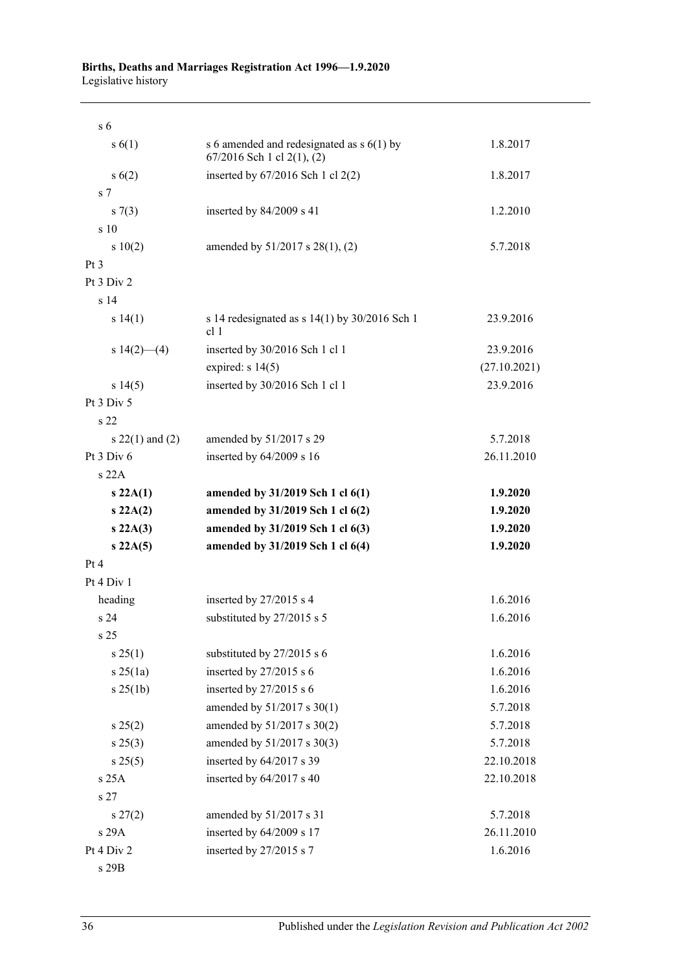#### **Births, Deaths and Marriages Registration Act 1996—1.9.2020** Legislative history

| s <sub>6</sub>      |                                                                                  |              |
|---------------------|----------------------------------------------------------------------------------|--------------|
| s(6(1))             | s 6 amended and redesignated as $s$ 6(1) by<br>$67/2016$ Sch 1 cl $2(1)$ , $(2)$ | 1.8.2017     |
| s(6(2))             | inserted by 67/2016 Sch 1 cl 2(2)                                                | 1.8.2017     |
| s <sub>7</sub>      |                                                                                  |              |
| $s \, 7(3)$         | inserted by $84/2009$ s 41                                                       | 1.2.2010     |
| s 10                |                                                                                  |              |
| 10(2)               | amended by 51/2017 s 28(1), (2)                                                  | 5.7.2018     |
| Pt <sub>3</sub>     |                                                                                  |              |
| Pt 3 Div 2          |                                                                                  |              |
| s <sub>14</sub>     |                                                                                  |              |
| s 14(1)             | s 14 redesignated as $s$ 14(1) by 30/2016 Sch 1<br>cl <sub>1</sub>               | 23.9.2016    |
| s $14(2)$ (4)       | inserted by 30/2016 Sch 1 cl 1                                                   | 23.9.2016    |
|                     | expired: $s$ 14(5)                                                               | (27.10.2021) |
| s 14(5)             | inserted by 30/2016 Sch 1 cl 1                                                   | 23.9.2016    |
| Pt 3 Div 5          |                                                                                  |              |
| s 22                |                                                                                  |              |
| s $22(1)$ and $(2)$ | amended by 51/2017 s 29                                                          | 5.7.2018     |
| Pt $3$ Div $6$      | inserted by 64/2009 s 16                                                         | 26.11.2010   |
| s22A                |                                                                                  |              |
| s 22A(1)            | amended by 31/2019 Sch 1 cl 6(1)                                                 | 1.9.2020     |
| $s\ 22A(2)$         | amended by 31/2019 Sch 1 cl 6(2)                                                 | 1.9.2020     |
| s 22A(3)            | amended by 31/2019 Sch 1 cl 6(3)                                                 | 1.9.2020     |
| s 22A(5)            | amended by 31/2019 Sch 1 cl 6(4)                                                 | 1.9.2020     |
| Pt 4                |                                                                                  |              |
| Pt 4 Div 1          |                                                                                  |              |
| heading             | inserted by 27/2015 s 4                                                          | 1.6.2016     |
| s <sub>24</sub>     | substituted by 27/2015 s 5                                                       | 1.6.2016     |
| s 25                |                                                                                  |              |
| $s \, 25(1)$        | substituted by 27/2015 s 6                                                       | 1.6.2016     |
| s25(1a)             | inserted by $27/2015$ s 6                                                        | 1.6.2016     |
| $s \, 25(1b)$       | inserted by 27/2015 s 6                                                          | 1.6.2016     |
|                     | amended by 51/2017 s 30(1)                                                       | 5.7.2018     |
| s 25(2)             | amended by 51/2017 s 30(2)                                                       | 5.7.2018     |
| s 25(3)             | amended by 51/2017 s 30(3)                                                       | 5.7.2018     |
| s 25(5)             | inserted by 64/2017 s 39                                                         | 22.10.2018   |
| s 25A               | inserted by 64/2017 s 40                                                         | 22.10.2018   |
| s <sub>27</sub>     |                                                                                  |              |
| $s\,27(2)$          | amended by 51/2017 s 31                                                          | 5.7.2018     |
| s 29A               | inserted by 64/2009 s 17                                                         | 26.11.2010   |
| Pt 4 Div 2          | inserted by 27/2015 s 7                                                          | 1.6.2016     |
| s 29B               |                                                                                  |              |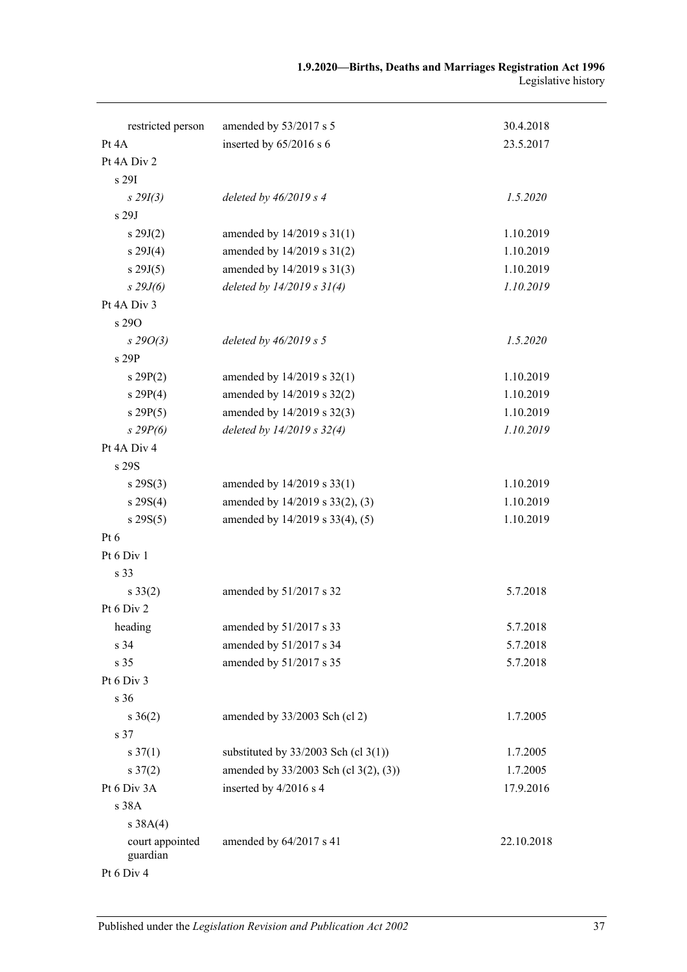| restricted person           | amended by 53/2017 s 5                 | 30.4.2018  |
|-----------------------------|----------------------------------------|------------|
| Pt 4A                       | inserted by 65/2016 s 6                | 23.5.2017  |
| Pt 4A Div 2                 |                                        |            |
| s 29I                       |                                        |            |
| $s\,29I(3)$                 | deleted by $46/2019 s 4$               | 1.5.2020   |
| s 29J                       |                                        |            |
| s 29J(2)                    | amended by 14/2019 s 31(1)             | 1.10.2019  |
| s 29J(4)                    | amended by 14/2019 s 31(2)             | 1.10.2019  |
| s 29J(5)                    | amended by 14/2019 s 31(3)             | 1.10.2019  |
| $s$ 29J(6)                  | deleted by $14/2019 s 31(4)$           | 1.10.2019  |
| Pt 4A Div 3                 |                                        |            |
| s 290                       |                                        |            |
| $s\,29O(3)$                 | deleted by $46/2019 s 5$               | 1.5.2020   |
| s 29P                       |                                        |            |
| s 29P(2)                    | amended by 14/2019 s 32(1)             | 1.10.2019  |
| s 29P(4)                    | amended by 14/2019 s 32(2)             | 1.10.2019  |
| s 29P(5)                    | amended by 14/2019 s 32(3)             | 1.10.2019  |
| $s$ 29 $P(6)$               | deleted by 14/2019 s 32(4)             | 1.10.2019  |
| Pt 4A Div 4                 |                                        |            |
| s 29S                       |                                        |            |
| $s \, 29S(3)$               | amended by 14/2019 s 33(1)             | 1.10.2019  |
| $s \, 29S(4)$               | amended by 14/2019 s 33(2), (3)        | 1.10.2019  |
| s 29S(5)                    | amended by 14/2019 s 33(4), (5)        | 1.10.2019  |
| Pt $6$                      |                                        |            |
| Pt 6 Div 1                  |                                        |            |
| s 33                        |                                        |            |
| $s \, 33(2)$                | amended by 51/2017 s 32                | 5.7.2018   |
| Pt 6 Div 2                  |                                        |            |
| heading                     | amended by 51/2017 s 33                | 5.7.2018   |
| s 34                        | amended by 51/2017 s 34                | 5.7.2018   |
| s 35                        | amended by 51/2017 s 35                | 5.7.2018   |
| Pt 6 Div 3                  |                                        |            |
| s 36                        |                                        |            |
| $s \; 36(2)$                | amended by 33/2003 Sch (cl 2)          | 1.7.2005   |
| s 37                        |                                        |            |
| $s \frac{37(1)}{2}$         | substituted by $33/2003$ Sch (cl 3(1)) | 1.7.2005   |
| $s \frac{37(2)}{2}$         | amended by 33/2003 Sch (cl 3(2), (3))  | 1.7.2005   |
| Pt 6 Div 3A                 | inserted by 4/2016 s 4                 | 17.9.2016  |
| s 38A                       |                                        |            |
| s 38A(4)                    |                                        |            |
| court appointed<br>guardian | amended by 64/2017 s 41                | 22.10.2018 |
| Pt 6 Div 4                  |                                        |            |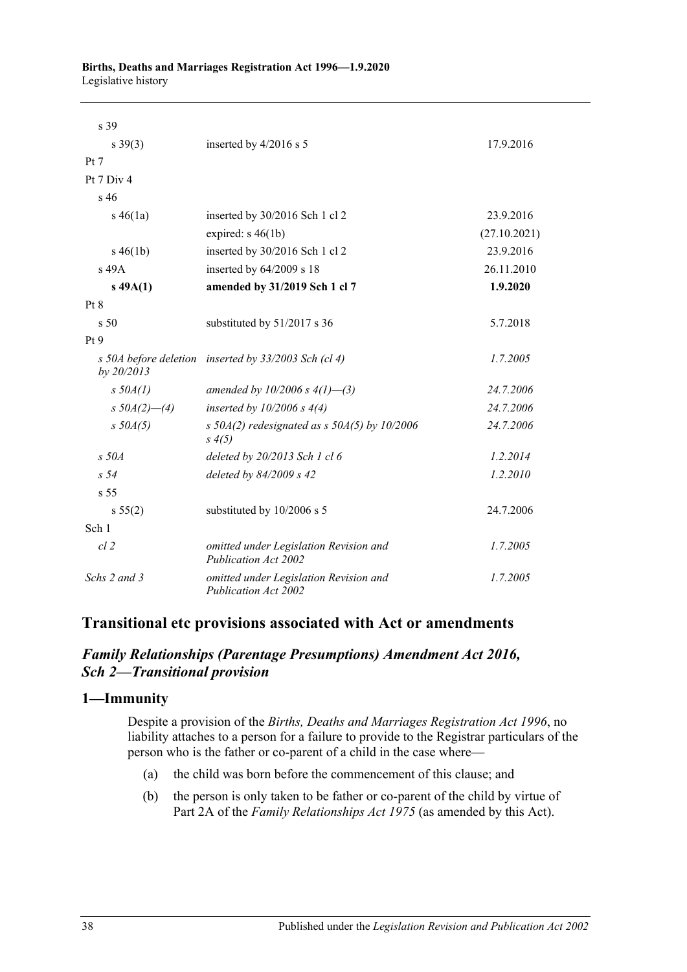| s 39            |                                                                   |              |
|-----------------|-------------------------------------------------------------------|--------------|
| $s \, 39(3)$    | inserted by 4/2016 s 5                                            | 17.9.2016    |
| Pt 7            |                                                                   |              |
| Pt 7 Div 4      |                                                                   |              |
| s <sub>46</sub> |                                                                   |              |
| $s\,46(1a)$     | inserted by 30/2016 Sch 1 cl 2                                    | 23.9.2016    |
|                 | expired: $s\,46(1b)$                                              | (27.10.2021) |
| $s\,46(1b)$     | inserted by 30/2016 Sch 1 cl 2                                    | 23.9.2016    |
| $s$ 49 $A$      | inserted by 64/2009 s 18                                          | 26.11.2010   |
| $s\,49A(1)$     | amended by 31/2019 Sch 1 cl 7                                     | 1.9.2020     |
| Pt 8            |                                                                   |              |
| s <sub>50</sub> | substituted by 51/2017 s 36                                       | 5.7.2018     |
| Pt <sub>9</sub> |                                                                   |              |
| by 20/2013      | s 50A before deletion inserted by 33/2003 Sch (cl 4)              | 1.7.2005     |
| $s$ 50 $A(1)$   | amended by $10/2006 s 4(1)$ —(3)                                  | 24.7.2006    |
| s $50A(2)$ —(4) | inserted by $10/2006 s 4(4)$                                      | 24.7.2006    |
| $s$ 50 $A(5)$   | s $50A(2)$ redesignated as s $50A(5)$ by $10/2006$<br>$s \, 4(5)$ | 24.7.2006    |
| $s$ 50 $A$      | deleted by 20/2013 Sch 1 cl 6                                     | 1.2.2014     |
| s <sub>54</sub> | deleted by 84/2009 s 42                                           | 1.2.2010     |
| s <sub>55</sub> |                                                                   |              |
| s 55(2)         | substituted by 10/2006 s 5                                        | 24.7.2006    |
| Sch 1           |                                                                   |              |
| $cl$ 2          | omitted under Legislation Revision and<br>Publication Act 2002    | 1.7.2005     |
| Schs 2 and 3    | omitted under Legislation Revision and<br>Publication Act 2002    | 1.7.2005     |

# **Transitional etc provisions associated with Act or amendments**

## *Family Relationships (Parentage Presumptions) Amendment Act 2016, Sch 2—Transitional provision*

## **1—Immunity**

Despite a provision of the *[Births, Deaths and Marriages Registration Act](http://www.legislation.sa.gov.au/index.aspx?action=legref&type=act&legtitle=Births%20Deaths%20and%20Marriages%20Registration%20Act%201996) 1996*, no liability attaches to a person for a failure to provide to the Registrar particulars of the person who is the father or co-parent of a child in the case where—

- (a) the child was born before the commencement of this clause; and
- (b) the person is only taken to be father or co-parent of the child by virtue of Part 2A of the *[Family Relationships Act](http://www.legislation.sa.gov.au/index.aspx?action=legref&type=act&legtitle=Family%20Relationships%20Act%201975) 1975* (as amended by this Act).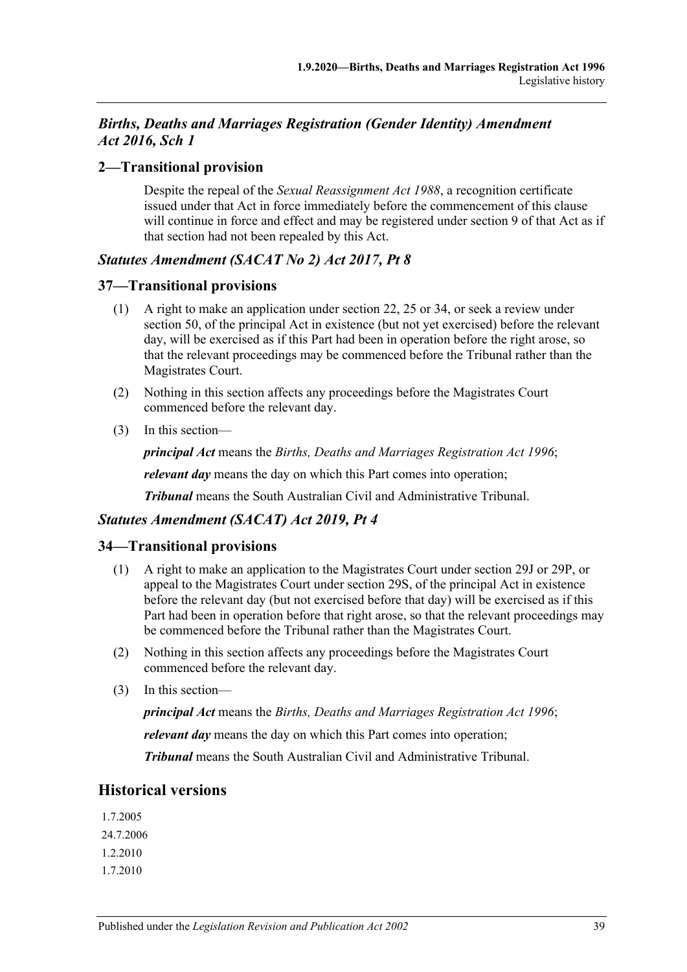# *Births, Deaths and Marriages Registration (Gender Identity) Amendment Act 2016, Sch 1*

## **2—Transitional provision**

Despite the repeal of the *[Sexual Reassignment Act](http://www.legislation.sa.gov.au/index.aspx?action=legref&type=act&legtitle=Sexual%20Reassignment%20Act%201988) 1988*, a recognition certificate issued under that Act in force immediately before the commencement of this clause will continue in force and effect and may be registered under section 9 of that Act as if that section had not been repealed by this Act.

## *Statutes Amendment (SACAT No 2) Act 2017, Pt 8*

## **37—Transitional provisions**

- (1) A right to make an application under section 22, 25 or 34, or seek a review under section 50, of the principal Act in existence (but not yet exercised) before the relevant day, will be exercised as if this Part had been in operation before the right arose, so that the relevant proceedings may be commenced before the Tribunal rather than the Magistrates Court.
- (2) Nothing in this section affects any proceedings before the Magistrates Court commenced before the relevant day.
- (3) In this section—

*principal Act* means the *[Births, Deaths and Marriages Registration Act](http://www.legislation.sa.gov.au/index.aspx?action=legref&type=act&legtitle=Births%20Deaths%20and%20Marriages%20Registration%20Act%201996) 1996*;

*relevant day* means the day on which this Part comes into operation;

*Tribunal* means the South Australian Civil and Administrative Tribunal.

# *Statutes Amendment (SACAT) Act 2019, Pt 4*

## **34—Transitional provisions**

- (1) A right to make an application to the Magistrates Court under section 29J or 29P, or appeal to the Magistrates Court under section 29S, of the principal Act in existence before the relevant day (but not exercised before that day) will be exercised as if this Part had been in operation before that right arose, so that the relevant proceedings may be commenced before the Tribunal rather than the Magistrates Court.
- (2) Nothing in this section affects any proceedings before the Magistrates Court commenced before the relevant day.
- (3) In this section—

*principal Act* means the *Births, Deaths and [Marriages Registration Act](http://www.legislation.sa.gov.au/index.aspx?action=legref&type=act&legtitle=Births%20Deaths%20and%20Marriages%20Registration%20Act%201996) 1996*;

*relevant day* means the day on which this Part comes into operation;

*Tribunal* means the South Australian Civil and Administrative Tribunal.

# **Historical versions**

1.7.2005 24.7.2006 1.2.2010 1.7.2010